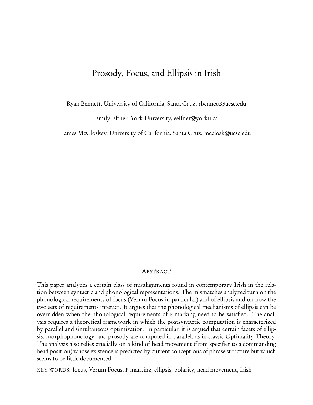# Prosody, Focus, and Ellipsis in Irish

Ryan Bennett, University of California, Santa Cruz, rbennett@ucsc.edu

Emily Elfner, York University, eelfner@yorku.ca

James McCloskey, University of California, Santa Cruz, mcclosk@ucsc.edu

### ABSTRACT

This paper analyzes a certain class of misalignments found in contemporary Irish in the relation between syntactic and phonological representations. The mismatches analyzed turn on the phonological requirements of focus (Verum Focus in particular) and of ellipsis and on how the two sets of requirements interact. It argues that the phonological mechanisms of ellipsis can be overridden when the phonological requirements of F-marking need to be satisfied. The analysis requires a theoretical framework in which the postsyntactic computation is characterized by parallel and simultaneous optimization. In particular, it is argued that certain facets of ellipsis, morphophonology, and prosody are computed in parallel, as in classic Optimality Theory. The analysis also relies crucially on a kind of head movement (from specifier to a commanding head position) whose existence is predicted by current conceptions of phrase structure but which seems to be little documented.

KEY WORDS: focus, Verum Focus, F-marking, ellipsis, polarity, head movement, Irish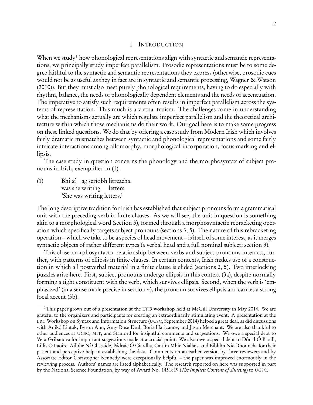#### 1 INTRODUCTION

When we study<sup>[1](#page-1-0)</sup> how phonological representations align with syntactic and semantic representations, we principally study imperfect parallelism. Prosodic representations must be to some degree faithful to the syntactic and semantic representations they express (otherwise, prosodic cues would not be as useful as they in fact are in syntactic and semantic processing, [Wagner & Watson](#page-44-0) [\(2010](#page-44-0))). But they must also meet purely phonological requirements, having to do especially with rhythm, balance, the needs of phonologically dependent elements and the needs of accentuation. The imperative to satisfy such requirements often results in imperfect parallelism across the systems of representation. This much is a virtual truism. The challenges come in understanding what the mechanisms actually are which regulate imperfect parallelism and the theoretical architecture within which those mechanisms do their work. Our goal here is to make some progress on these linked questions. We do that by offering a case study from Modern Irish which involves fairly dramatic mismatches between syntactic and phonological representations and some fairly intricate interactions among allomorphy, morphological incorporation, focus-marking and ellipsis.

The case study in question concerns the phonology and the morphosyntax of subject pronouns in Irish, exemplified in (1).

(1) Bhí sí ag scríobh litreacha. was she writing letters 'She was writing letters.'

The long descriptive tradition for Irish has established that subject pronouns form a grammatical unit with the preceding verb in finite clauses. As we will see, the unit in question is something akin to a morphological word (section [3\)](#page-6-0), formed through a morphosyntactic rebracketing operation which specifically targets subject pronouns (sections [3,](#page-6-0) [5\)](#page-27-0). The nature of this rebracketing operation – which we take to be a species of head movement – is itself of some interest, as it merges syntactic objects of rather different types (a verbal head and a full nominal subject; section [3\)](#page-6-0).

This close morphosyntactic relationship between verbs and subject pronouns interacts, further, with patterns of ellipsis in finite clauses. In certain contexts, Irish makes use of a construction in which all postverbal material in a finite clause is elided (sections [2,](#page-2-0) [5\)](#page-27-0). Two interlocking puzzles arise here. First, subject pronouns undergo ellipsis in this context (3a), despite normally forming a tight constituent with the verb, which survives ellipsis. Second, when the verb is 'emphasized' (in a sense made precise in section [4\)](#page-16-0), the pronoun survives ellipsis and carries a strong focal accent (3b).

<span id="page-1-0"></span><sup>&</sup>lt;sup>1</sup>This paper grows out of a presentation at the ETI3 workshop held at McGill University in May 2014. We are grateful to the organizers and participants for creating an extraordinarily stimulating event. A presentation at the LRC Workshop on Syntax and Information Structure (UCSC, September 2014) helped a great deal, as did discussions with Anikó Liptak, Byron Ahn, Amy Rose Deal, Boris Harizanov, and Jason Merchant. We are also thankful to other audiences at UCSC, MIT, and Stanford for insightful comments and suggestions. We owe a special debt to Vera Gribanova for important suggestions made at a crucial point. We also owe a special debt to Dónal Ó Baoill, Lillis Ó Laoire, Ailbhe Ní Chasaide, Pádraic Ó Ciardha, Caitlín Mhic Niallais, and Eibhlín Nic Dhonncha for their patient and perceptive help in establishing the data. Comments on an earlier version by three reviewers and by Associate Editor Christopher Kennedy were exceptionally helpful – the paper was improved enormously in the reviewing process. Authors' names are listed alphabetically. The research reported on here was supported in part by the National Science Foundation, by way of Award No. 1451819 (The Implicit Content of Sluicing) to UCSC.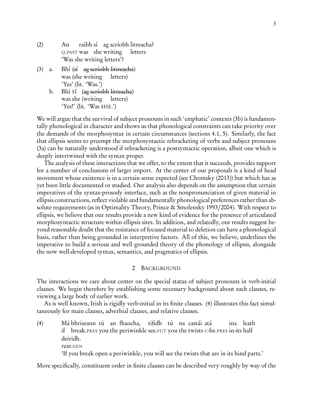- $(2)$  An <sup>Q</sup>.PAST was she writing raibh sí ag scríobh litreacha? letters 'Was she writing letters'?
- $(3)$  a. was (she writing (sí ag scríobh litireacha) letters) 'Yes' (lit. 'Was.')
	- b. Bhí Sí (<del>ag scríobh litreacha</del>) was she (writing letters) 'Yes!' (lit. 'Was SHE.')

We will argue that the survival of subject pronouns in such 'emphatic' contexts (3b) is fundamentally phonological in character and shows us that phonological constraints can take priority over the demands of the morphosyntax in certain circumstances (sections [4.1,](#page-19-0) [5\)](#page-27-0). Similarly, the fact that ellipsis seems to preempt the morphosyntactic rebracketing of verbs and subject pronouns (3a) can be naturally understood if rebracketing is a postsyntactic operation, albeit one which is deeply intertwined with the syntax proper.

The analysis of these interactions that we offer, to the extent that it succeeds, provides support for a number of conclusions of larger import. At the center of our proposals is a kind of head movement whose existence is in a certain sense expected (see [Chomsky \(2013](#page-38-0))) but which has as yet been little documented or studied. Our analysis also depends on the assumption that certain imperatives of the syntax-prosody interface, such as the nonpronunciation of given material in ellipsis constructions, reflect violable and fundamentally phonological preferences rather than absolute requirements (as in Optimality Theory, [Prince & Smolensky 1993](#page-43-0)/2004). With respect to ellipsis, we believe that our results provide a new kind of evidence for the presence of articulated morphosyntactic structure within ellipsis sites. In addition, and relatedly, our results suggest beyond reasonable doubt that the resistance of focused material to deletion can have a phonological basis, rather than being grounded in interpretive factors. All of this, we believe, underlines the imperative to build a serious and well grounded theory of the phonology of ellipsis, alongside the now well-developed syntax, semantics, and pragmatics of ellipsis.

### <span id="page-2-1"></span>2 BACKGROUND

<span id="page-2-0"></span>The interactions we care about center on the special status of subject pronouns in verb-initial clauses. We begin therefore by establishing some necessary background about such clauses, reviewing a large body of earlier work.

As is well known, Irish is rigidly verb-initial in its finite clauses. (4) illustrates this fact simultaneously for main clauses, adverbial clauses, and relative clauses.

(4) Má bhriseann tú an fhaocha, if break.PRES you the periwinkle see.FUT you the twists <sup>C</sup>-be.PRES in-its half tifidh tú na castái atá ina leath deiridh. rear.GEN 'If you break open a periwinkle, you will see the twists that are in its hind parts.'

More specifically, constituent order in finite clauses can be described very roughly by way of the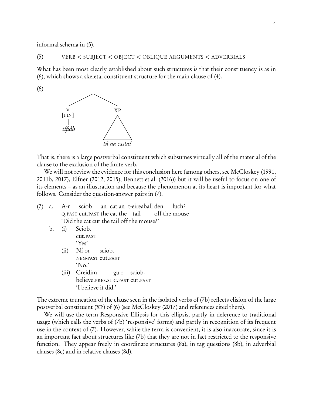informal schema in (5).

(6)

#### (5) VERB *<* SUBJECT *<* OBJECT *<* OBLIQUE ARGUMENTS *<* ADVERBIALS

What has been most clearly established about such structures is that their constituency is as in (6), which shows a skeletal constituent structure for the main clause of [\(4\).](#page-2-1)

<span id="page-3-0"></span>

That is, there is a large postverbal constituent which subsumes virtually all of the material of the clause to the exclusion of the finite verb.

We will not review the evidence for this conclusion here (among others, see [McCloskey \(1991,](#page-41-0) [2011b](#page-42-0), [2017\)](#page-42-1), [Elfner \(2012](#page-39-0), [2015\)](#page-39-1), [Bennett et al. \(2016\)](#page-37-0)) but it will be useful to focus on one of its elements – as an illustration and because the phenomenon at its heart is important for what follows. Consider the question-answer pairs in (7).

- (7) a. A-r <sup>Q</sup>.PAST cut.PAST the cat the tail sciob an cat an t-eireaball den off-the mouse luch? 'Did the cat cut the tail off the mouse?'
	- b. (i) Sciob. cut.PAST 'Yes'
		- (ii) Ní-or NEG-PAST cut.PAST sciob. 'No.'
		- (iii) Creidim believe.PRES.S1 <sup>C</sup>.PAST cut.PAST gu-r sciob. 'I believe it did.'

The extreme truncation of the clause seen in the isolated verbs of (7b) reflects elision of the large postverbal constituent (XP) of [\(6\)](#page-3-0) (see [McCloskey \(2017\)](#page-42-1) and references cited there).

We will use the term Responsive Ellipsis for this ellipsis, partly in deference to traditional usage (which calls the verbs of (7b) 'responsive' forms) and partly in recognition of its frequent use in the context of (7). However, while the term is convenient, it is also inaccurate, since it is an important fact about structures like (7b) that they are not in fact restricted to the responsive function. They appear freely in coordinate structures (8a), in tag questions (8b), in adverbial clauses (8c) and in relative clauses (8d).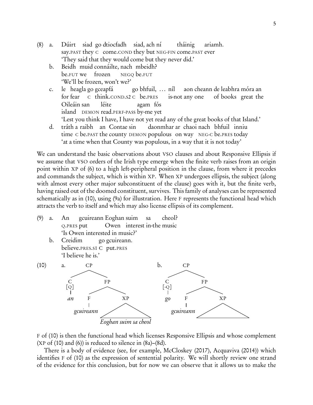- <span id="page-4-0"></span> $(8)$  a. say.PAST they C come.COND they but NEG-FIN come.PAST ever siad go dtiocfadh siad, ach ní tháinig ariamh. 'They said that they would come but they never did.'
	- b. Beidh muid connáilte, nach mbeidh? be.FUT we frozen NEGQ be.FUT 'We'll be frozen, won't we?'
	- c. le heagla go gceapfá for fear C think.COND.S2 C be.PRES go bhfuil, ... níl is-not any one aon cheann de leabhra móra an of books great the Oileáin san island DEMON read.PERF-PASS by-me yet léite agam fós 'Lest you think I have, I have not yet read any of the great books of that Island.'
	- d. tráth a raibh an Contae sin time c be.past the county DEMON populous on way NEG-c be.pres today daonmhar ar chaoi nach bhfuil inniu 'at a time when that County was populous, in a way that it is not today'

<span id="page-4-1"></span>We can understand the basic observations about VSO clauses and about Responsive Ellipsis if we assume that VSO orders of the Irish type emerge when the finite verb raises from an origin point within XP of [\(6\)](#page-3-0) to a high left-peripheral position in the clause, from where it precedes and commands the subject, which is within XP. When XP undergoes ellipsis, the subject (along with almost every other major subconstituent of the clause) goes with it, but the finite verb, having raised out of the doomed constituent, survives. This family of analyses can be represented schematically as in (10), using (9a) for illustration. Here F represents the functional head which attracts the verb to itself and which may also license ellipsis of its complement.

- (9) a. An <sup>Q</sup>.PRES put gcuireann Eoghan suim Owen interest in-the music sa cheol? 'Is Owen interested in music?'
	- b. Creidim believe.PRES.S1 C put.PRES go gcuireann. 'I believe he is.'



F of (10) is then the functional head which licenses Responsive Ellipsis and whose complement  $(XP \text{ of } (10) \text{ and } (6))$  $(XP \text{ of } (10) \text{ and } (6))$  is reduced to silence in  $(8a)$ – $(8d)$ .

There is a body of evidence (see, for example, [McCloskey \(2017\)](#page-42-1), [Acquaviva \(2014\)](#page-37-1)) which identifies F of (10) as the expression of sentential polarity. We will shortly review one strand of the evidence for this conclusion, but for now we can observe that it allows us to make the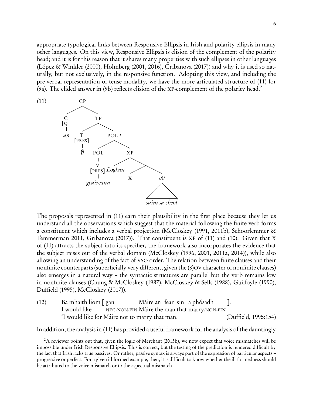<span id="page-5-1"></span>appropriate typological links between Responsive Ellipsis in Irish and polarity ellipsis in many other languages. On this view, Responsive Ellipsis is elision of the complement of the polarity head; and it is for this reason that it shares many properties with such ellipses in other languages [\(López & Winkler \(2000\)](#page-41-1), [Holmberg \(2001,](#page-40-0) [2016\)](#page-40-1), [Gribanova \(2017\)](#page-39-2)) and why it is used so naturally, but not exclusively, in the responsive function. Adopting this view, and including the pre-verbal representation of tense-modality, we have the more articulated structure of (11) for (9a). The elided answer in (9b) reflects elision of the XP-complement of the polarity head.<sup>[2](#page-5-0)</sup>



The proposals represented in [\(11\)](#page-5-1) earn their plausibility in the first place because they let us understand all the observations which suggest that the material following the finite verb forms a constituent which includes a verbal projection [\(McCloskey \(1991,](#page-41-0) [2011b](#page-42-0)), Schoorlemmer & Temmerman 2011, [Gribanova \(2017\)](#page-39-2)). That constituent is XP of (11) and (10). Given that X of [\(11\)](#page-5-1) attracts the subject into its specifier, the framework also incorporates the evidence that the subject raises out of the verbal domain [\(McCloskey \(1996](#page-41-2), [2001](#page-42-2), [2011a](#page-42-3), [2014](#page-42-4))), while also allowing an understanding of the fact of VSO order. The relation between finite clauses and their nonfinite counterparts (superficially very different, given the (S)OV character of nonfinite clauses) also emerges in a natural way – the syntactic structures are parallel but the verb remains low in nonfinite clauses [\(Chung & McCloskey \(1987](#page-38-1)), [McCloskey & Sells \(1988](#page-42-5)), [Guilfoyle \(1990](#page-39-3)), [Duffield \(1995](#page-39-4)), [McCloskey \(2017\)](#page-42-1)).

(12) Ba mhaith liom [ gan I-would-like NEG-NON-FIN Máire the man that marry.NON-FIN Máire an fear sin a phósadh ]. 'I would like for Máire not to marry that man. [\(Duffield](#page-39-4), [1995](#page-39-4):154)

In addition, the analysis in [\(11\)](#page-5-1) has provided a useful framework for the analysis of the dauntingly

<span id="page-5-0"></span><sup>&</sup>lt;sup>2</sup>A reviewer points out that, given the logic of [Merchant \(2013b](#page-42-6)), we now expect that voice mismatches will be impossible under Irish Responsive Ellipsis. This is correct, but the testing of the prediction is rendered difficult by the fact that Irish lacks true passives. Or rather, passive syntax is always part of the expression of particular aspects – progressive or perfect. For a given ill-formed example, then, it is difficult to know whether the ill-formedness should be attributed to the voice mismatch or to the aspectual mismatch.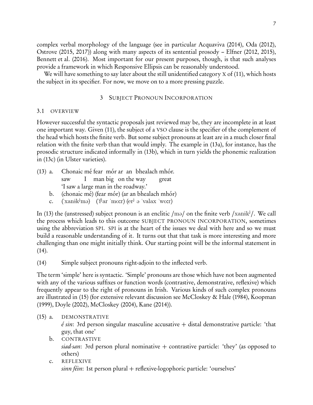complex verbal morphology of the language (see in particular [Acquaviva \(2014](#page-37-1)), [Oda \(2012](#page-42-7)), [Ostrove \(2015,](#page-43-1) [2017\)](#page-43-2)) along with many aspects of its sentential prosody – [Elfner \(2012,](#page-39-0) [2015](#page-39-1)), [Bennett et al. \(2016](#page-37-0)). Most important for our present purposes, though, is that such analyses provide a framework in which Responsive Ellipsis can be reasonably understood.

<span id="page-6-0"></span>We will have something to say later about the still unidentified category X of (11), which hosts the subject in its specifier. For now, we move on to a more pressing puzzle.

## 3 SUBJECT PRONOUN INCORPORATION

## 3.1 OVERVIEW

However successful the syntactic proposals just reviewed may be, they are incomplete in at least one important way. Given [\(11\),](#page-5-1) the subject of a VSO clause is the specifier of the complement of the head which hosts the finite verb. But some subject pronouns at least are in a much closer final relation with the finite verb than that would imply. The example in (13a), for instance, has the prosodic structure indicated informally in (13b), which in turn yields the phonemic realization in (13c) (in Ulster varieties).

- (13) a. Chonaic mé fear mór ar an bhealach mhór. saw I man big on the way great 'I saw a large man in the roadway.'
	- b. (chonaic mé) (fear mór) (ar an bhealach mhór)
	- c. ('xanik<sup>j</sup>mə) ('f<sup>j</sup>ar 'mo:r) (er<sup>j</sup> ə 'valax 'wo:r)

In (13) the (unstressed) subject pronoun is an enclitic /mə/ on the finite verb /xanikʲ/. We call the process which leads to this outcome SUBJECT PRONOUN INCORPORATION, sometimes using the abbreviation SPI. SPI is at the heart of the issues we deal with here and so we must build a reasonable understanding of it. It turns out that that task is more interesting and more challenging than one might initially think. Our starting point will be the informal statement in (14).

(14) Simple subject pronouns right-adjoin to the inflected verb.

The term 'simple' here is syntactic. 'Simple' pronouns are those which have not been augmented with any of the various suffixes or function words (contrastive, demonstrative, reflexive) which frequently appear to the right of pronouns in Irish. Various kinds of such complex pronouns are illustrated in (15) (for extensive relevant discussion see [McCloskey & Hale \(1984](#page-42-8)), [Koopman](#page-41-3) [\(1999](#page-41-3)), [Doyle \(2002](#page-39-5)), [McCloskey \(2004\)](#page-42-9), [Kane \(2014\)](#page-41-4)).

# (15) a. DEMONSTRATIVE

<span id="page-6-1"></span> $\acute{e}$  sin: 3rd person singular masculine accusative  $+$  distal demonstrative particle: 'that guy, that one'

- b. CONTRASTIVE siad-san: 3rd person plural nominative  $+$  contrastive particle: 'they' (as opposed to others)
- c. REFLEXIVE sinn féin: 1st person plural + reflexive-logophoric particle: 'ourselves'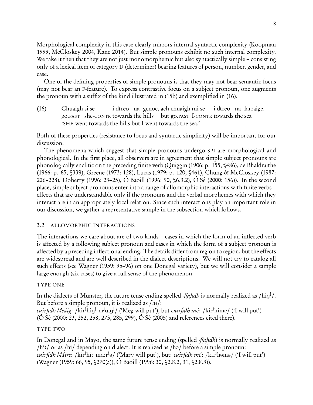Morphological complexity in this case clearly mirrors internal syntactic complexity [\(Koopman](#page-41-3) [1999,](#page-41-3) [McCloskey 2004](#page-42-9), [Kane 2014](#page-41-4)). But simple pronouns exhibit no such internal complexity. We take it then that they are not just monomorphemic but also syntactically simple – consisting only of a lexical item of category D (determiner) bearing features of person, number, gender, and case.

One of the defining properties of simple pronouns is that they may not bear semantic focus (may not bear an F-feature). To express contrastive focus on a subject pronoun, one augments the pronoun with a suffix of the kind illustrated in (15b) and exemplified in (16).

<span id="page-7-1"></span>(16) Chuaigh si-se go.PAST she-CONTR towards the hills but go.PAST I-CONTR towards the sea i dtreo na gcnoc, ach chuaigh mi-se i dtreo na farraige. 'SHE went towards the hills but I went towards the sea.'

Both of these properties (resistance to focus and syntactic simplicity) will be important for our discussion.

The phenomena which suggest that simple pronouns undergo SPI are morphological and phonological. In the first place, all observers are in agreement that simple subject pronouns are phonologically enclitic on the preceding finite verb [\(Quiggin \(1906](#page-43-3): p. 155, §486), [de Bhaldraithe](#page-37-2) [\(1966](#page-37-2): p. 65, §339), [Greene \(1973](#page-39-6): 128), [Lucas \(1979:](#page-41-5) p. 120, §461), [Chung & McCloskey \(1987:](#page-38-1) 226–228), [Doherty \(1996:](#page-38-2) 23–25), [Ó Baoill \(1996:](#page-42-10) 90, §6.3.2), [Ó Sé \(2000](#page-43-4): 156)). In the second place, simple subject pronouns enter into a range of allomorphic interactions with finite verbs – effects that are understandable only if the pronouns and the verbal morphemes with which they interact are in an appropriately local relation. Since such interactions play an important role in our discussion, we gather a representative sample in the subsection which follows.

# <span id="page-7-0"></span>3.2 ALLOMORPHIC INTERACTIONS

The interactions we care about are of two kinds – cases in which the form of an inflected verb is affected by a following subject pronoun and cases in which the form of a subject pronoun is affected by a preceding inflectional ending. The details differ from region to region, but the effects are widespread and are well described in the dialect descriptions. We will not try to catalog all such effects (see [Wagner \(1959](#page-44-1): 95–96) on one Donegal variety), but we will consider a sample large enough (six cases) to give a full sense of the phenomenon.

# TYPE ONE

In the dialects of Munster, the future tense ending spelled *-f(a)idh* is normally realized as /hɨgʲ/. But before a simple pronoun, it is realized as  $/hi/$ :

cuirfidh Meáig: /kir<sup>j</sup>hig<sup>j</sup> m<sup>j</sup>ɑːgʲ/ ('Meg will put'), but cuirfidh mé: /kir<sup>j</sup>hime/ ('I will put') [\(Ó Sé \(2000:](#page-43-4) 23, 252, 258, 273, 285, 299), [Ó Sé \(2005](#page-43-5)) and references cited there).

# TYPE TWO

In Donegal and in Mayo, the same future tense ending (spelled  $-f(a)$ *idh*) is normally realized as  $\frac{\hbar i}{\hbar}$  or as  $\frac{\hbar i}{\hbar}$  depending on dialect. It is realized as  $\frac{\hbar^2}{\hbar^2}$  before a simple pronoun: cuirfidh Máire: /kɨrʲhiː mɑːrʲə/ ('Mary will put'), but: cuirfidh mé: /kɨrʲhəmə/ ('I will put') [\(Wagner \(1959](#page-44-1): 66, 95, §270(a)), [Ó Baoill \(1996:](#page-42-10) 30, §2.8.2, 31, §2.8.3)).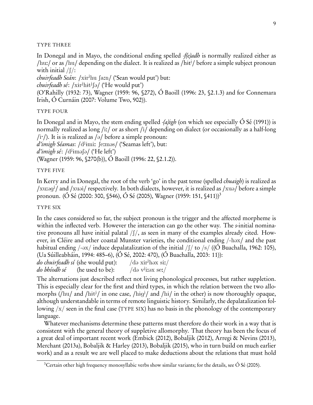### TYPE THREE

In Donegal and in Mayo, the conditional ending spelled *-f(e)adh* is normally realized either as /hu:/ or as /hu/ depending on the dialect. It is realized as /hit<sup>j</sup>/ before a simple subject pronoun with initial  $/f$ :

 $chuirfeadh Seán: /xir<sup>j</sup>hu [a:n]$  ('Sean would put') but:

chuirfeadh sé: /xir<sup>j</sup>hit<sup>j</sup>ʃə/ ('He would put')

[\(O'Rahilly \(1932](#page-42-11): 73), [Wagner \(1959](#page-44-1): 96, §272), [Ó Baoill \(1996](#page-42-10): 23, §2.1.3) and for Connemara Irish, [Ó Curnáin \(2007:](#page-42-12) Volume Two, 902)).

### TYPE FOUR

In Donegal and in Mayo, the stem ending spelled  $-a$ )igh (on which see especially  $\acute{o}$  Sé (1991)) is normally realized as long /i:/ or as short /i/ depending on dialect (or occasionally as a half-long /i<sup>'</sup>/). It is is realized as / $\partial$ / before a simple pronoun: d'imigh Séamas: /d<sup>j</sup>imi: ʃeːməs/ ('Seamas left'), but:

d'imigh sé: /d<sup>j</sup>iməʃə/ ('He left')

[\(Wagner \(1959](#page-44-1): 96, §270(b)), [Ó Baoill \(1996:](#page-42-10) 22, §2.1.2)).

### TYPE FIVE

In Kerry and in Donegal, the root of the verb 'go' in the past tense (spelled *chuaigh*) is realized as /xu:og<sup>j</sup>/ and /xuoi/ respectively. In both dialects, however, it is realized as /xuo/ before a simple pronoun. [\(Ó Sé \(2000:](#page-43-4) 300, §546), [Ó Sé \(2005](#page-43-5)), [Wagner \(1959:](#page-44-1) 151, §411))[3](#page-8-0)

### TYPE SIX

In the cases considered so far, the subject pronoun is the trigger and the affected morpheme is within the inflected verb. However the interaction can go the other way. The s-initial nominative pronouns all have initial palatal  $/f/$ , as seen in many of the examples already cited. However, in Cléire and other coastal Munster varieties, the conditional ending /-hox/ and the past habitual ending  $/-\infty/$  induce depalatalization of the initial  $/(\frac{\pi}{6}$  /s/ ((O Buachalla, 1962: 105), [\(Ua Súilleabháin](#page-44-2), [1994](#page-44-2): 485–6), [\(Ó Sé, 2002:](#page-43-7) 470), [\(Ó Buachalla, 2003:](#page-42-14) 11)):

do chuirfeadh sí (she would put):  $/$ də xir<sup>j</sup>həx si:/

 $d\sigma$  *bhíodh* sé (he used to be): /də vii: $ex$  se:/

The alternations just described reflect not living phonological processes, but rather suppletion. This is especially clear for the first and third types, in which the relation between the two allomorphs (/hu/ and /hit<sup>j</sup>/ in one case, /hig<sup>j</sup>/ and /hi/ in the other) is now thoroughly opaque, although understandable in terms of remote linguistic history. Similarly, the depalatalization following  $\frac{x}{x}$  seen in the final case (TYPE SIX) has no basis in the phonology of the contemporary language.

Whatever mechanisms determine these patterns must therefore do their work in a way that is consistent with the general theory of suppletive allomorphy. That theory has been the focus of a great deal of important recent work [\(Embick \(2012\)](#page-39-7), [Bobaljik \(2012](#page-37-3)), [Arregi & Nevins \(2013](#page-37-4)), [Merchant \(2013a\)](#page-42-15), [Bobaljik & Harley \(2013\)](#page-38-3), [Bobaljik \(2015\)](#page-37-5), who in turn build on much earlier work) and as a result we are well placed to make deductions about the relations that must hold

<span id="page-8-0"></span><sup>&</sup>lt;sup>3</sup>Certain other high frequency monosyllabic verbs show similar variants; for the details, see  $\acute{o}$  Sé (2005).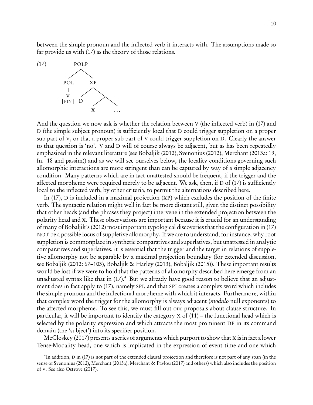between the simple pronoun and the inflected verb it interacts with. The assumptions made so far provide us with (17) as the theory of those relations.



And the question we now ask is whether the relation between V (the inflected verb) in (17) and D (the simple subject pronoun) is sufficiently local that D could trigger suppletion on a proper sub-part of V, or that a proper sub-part of V could trigger suppletion on D. Clearly the answer to that question is 'no'. V and D will of course always be adjacent, but as has been repeatedly emphasized in the relevant literature (see [Bobaljik \(2012\)](#page-37-3), [Svenonius \(2012](#page-44-3)), [Merchant \(2013a:](#page-42-15) 19, fn. 18 and passim)) and as we will see ourselves below, the locality conditions governing such allomorphic interactions are more stringent than can be captured by way of a simple adjacency condition. Many patterns which are in fact unattested should be frequent, if the trigger and the affected morpheme were required merely to be adjacent. We ask, then, if  $D$  of (17) is sufficiently local to the inflected verb, by other criteria, to permit the alternations described here.

In (17), D is included in a maximal projection (XP) which excludes the position of the finite verb. The syntactic relation might well in fact be more distant still, given the distinct possibility that other heads (and the phrases they project) intervene in the extended projection between the polarity head and X. These observations are important because it is crucial for an understanding of many of Bobaljik's [\(2012\)](#page-37-3) most important typological discoveries that the configuration in (17) NOT be a possible locus of suppletive allomorphy. If we are to understand, for instance, why root suppletion is commonplace in synthetic comparatives and superlatives, but unattested in analytic comparatives and superlatives, it is essential that the trigger and the target in relations of suppletive allomorphy not be separable by a maximal projection boundary (for extended discussion, see [Bobaljik \(2012:](#page-37-3) 67–103), [Bobaljik & Harley \(2013\)](#page-38-3), [Bobaljik \(2015\)](#page-37-5)). These important results would be lost if we were to hold that the patterns of allomorphy described here emerge from an unadjusted syntax like that in  $(17)$ .<sup>[4](#page-9-0)</sup> But we already have good reason to believe that an adjustment does in fact apply to (17), namely SPI, and that SPI creates a complex word which includes the simple pronoun and the inflectional morpheme with which it interacts. Furthermore, within that complex word the trigger for the allomorphy is always adjacent *(modulo* null exponents) to the affected morpheme. To see this, we must fill out our proposals about clause structure. In particular, it will be important to identify the category X of [\(11\)](#page-5-1) – the functional head which is selected by the polarity expression and which attracts the most prominent DP in its command domain (the 'subject') into its specifier position.

[McCloskey \(2017\)](#page-42-1) presents a series of arguments which purport to show that X is in fact a lower Tense-Modality head, one which is implicated in the expression of event time and one which

<span id="page-9-0"></span><sup>&</sup>lt;sup>4</sup>In addition, D in (17) is not part of the extended clausal projection and therefore is not part of any span (in the sense of [Svenonius \(2012](#page-44-3)), [Merchant \(2013a](#page-42-15)), [Merchant & Pavlou \(2017](#page-42-16)) and others) which also includes the position of V. See also [Ostrove \(2017](#page-43-2)).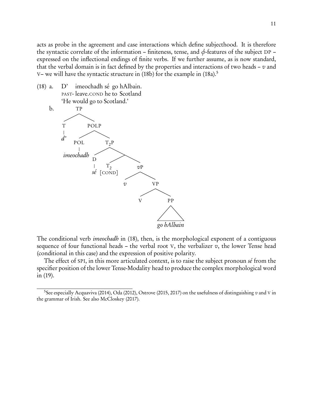acts as probe in the agreement and case interactions which define subjecthood. It is therefore the syntactic correlate of the information – finiteness, tense, and *φ*-features of the subject DP – expressed on the inflectional endings of finite verbs. If we further assume, as is now standard, that the verbal domain is in fact defined by the properties and interactions of two heads –  $v$  and V– we will have the syntactic structure in (18b) for the example in  $(18a)$ <sup>[5](#page-10-0)</sup>

 $(18)$  a. D' PAST-leave.COND he to Scotland imeochadh sé go hAlbain. 'He would go to Scotland.'

<span id="page-10-1"></span>

The conditional verb *imeochadh* in (18), then, is the morphological exponent of a contiguous sequence of four functional heads – the verbal root V, the verbalizer  $v$ , the lower Tense head (conditional in this case) and the expression of positive polarity.

<span id="page-10-2"></span>The effect of SPI, in this more articulated context, is to raise the subject pronoun sé from the specifier position of the lower Tense-Modality head to produce the complex morphological word in (19).

<span id="page-10-0"></span><sup>&</sup>lt;sup>5</sup>See especially [Acquaviva \(2014\)](#page-37-1), [Oda \(2012](#page-42-7)), [Ostrove \(2015](#page-43-1), [2017](#page-43-2)) on the usefulness of distinguishing  $v$  and V in the grammar of Irish. See also [McCloskey \(2017\)](#page-42-1).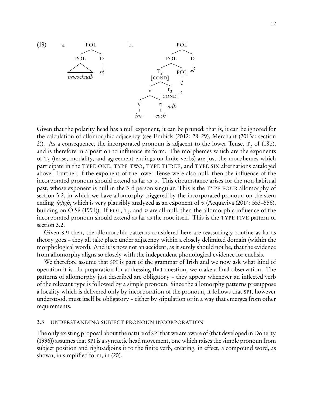

Given that the polarity head has a null exponent, it can be pruned; that is, it can be ignored for the calculation of allomorphic adjacency (see [Embick \(2012](#page-39-7): 28–29), [Merchant \(2013a](#page-42-15): section 2)). As a consequence, the incorporated pronoun is adjacent to the lower Tense,  $\tau_{2}$  of [\(18b\),](#page-10-1) and is therefore in a position to influence its form. The morphemes which are the exponents of  $\texttt{T}_2$  (tense, modality, and agreement endings on finite verbs) are just the morphemes which participate in the TYPE ONE, TYPE TWO, TYPE THREE, and TYPE SIX alternations cataloged above. Further, if the exponent of the lower Tense were also null, then the influence of the incorporated pronoun should extend as far as  $v$ . This circumstance arises for the non-habitual past, whose exponent is null in the 3rd person singular. This is the TYPE FOUR allomorphy of section [3.2,](#page-7-0) in which we have allomorphy triggered by the incorporated pronoun on the stem ending -(a)igh, which is very plausibly analyzed as an exponent of v [\(Acquaviva \(2014](#page-37-1): 553–556), building on O Sé (1991)). If POL,  $T_2$ , and  $v$  are all null, then the allomorphic influence of the incorporated pronoun should extend as far as the root itself. This is the TYPE FIVE pattern of section [3.2.](#page-7-0)

Given SPI then, the allomorphic patterns considered here are reassuringly routine as far as theory goes – they all take place under adjacency within a closely delimited domain (within the morphological word). And it is now not an accident, as it surely should not be, that the evidence from allomorphy aligns so closely with the independent phonological evidence for enclisis.

We therefore assume that SPI is part of the grammar of Irish and we now ask what kind of operation it is. In preparation for addressing that question, we make a final observation. The patterns of allomorphy just described are obligatory – they appear whenever an inflected verb of the relevant type is followed by a simple pronoun. Since the allomorphy patterns presuppose a locality which is delivered only by incorporation of the pronoun, it follows that SPI, however understood, must itself be obligatory – either by stipulation or in a way that emerges from other requirements.

#### 3.3 UNDERSTANDING SUBJECT PRONOUN INCORPORATION

<span id="page-11-0"></span>The only existing proposal about the nature of SPI that we are aware of (that developed in [Doherty](#page-38-2) [\(1996](#page-38-2))) assumes that SPI is a syntactic head movement, one which raises the simple pronoun from subject position and right-adjoins it to the finite verb, creating, in effect, a compound word, as shown, in simplified form, in (20).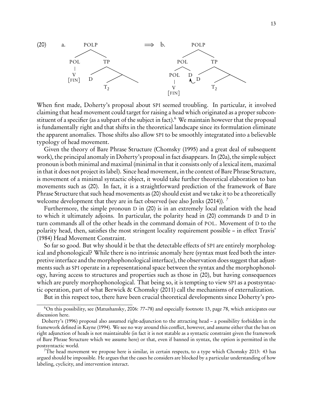

When first made, Doherty's proposal about SPI seemed troubling. In particular, it involved claiming that head movement could target for raising a head which originated as a proper subcon-stituent of a specifier (as a subpart of the subject in fact).<sup>[6](#page-12-0)</sup> We maintain however that the proposal is fundamentally right and that shifts in the theoretical landscape since its formulation eliminate the apparent anomalies. Those shifts also allow SPI to be smoothly integratated into a believable typology of head movement.

Given the theory of Bare Phrase Structure [\(Chomsky \(1995\)](#page-38-4) and a great deal of subsequent work), the principal anomaly in Doherty's proposal in fact disappears. In (20a), the simple subject pronoun is both minimal and maximal (minimal in that it consists only of a lexical item, maximal in that it does not project its label). Since head movement, in the context of Bare Phrase Structure, is movement of a minimal syntactic object, it would take further theoretical elaboration to ban movements such as (20). In fact, it is a straightforward prediction of the framework of Bare Phrase Structure that such head movements as (20) should exist and we take it to be a theoretically welcome development that they are in fact observed (see also [Jenks \(2014\)](#page-41-6)). <sup>[7](#page-12-1)</sup>

Furthermore, the simple pronoun D in (20) is in an extremely local relation with the head to which it ultimately adjoins. In particular, the polarity head in (20) commands D and D in turn commands all of the other heads in the command domain of POL. Movement of D to the polarity head, then, satisfies the most stringent locality requirement possible – in effect Travis' [\(1984](#page-44-4)) Head Movement Constraint.

So far so good. But why should it be that the detectable effects of SPI are entirely morphological and phonological? While there is no intrinsic anomaly here (syntax must feed both the interpretive interface and the morphophonological interface), the observation does suggest that adjustments such as SPI operate in a representational space between the syntax and the morphophonology, having access to structures and properties such as those in (20), but having consequences which are purely morphophonological. That being so, it is tempting to view SPI as a postsyntactic operation, part of what [Berwick & Chomsky \(2011\)](#page-37-6) call the mechanisms of externalization.

But in this respect too, there have been crucial theoretical developments since Doherty's pro-

<span id="page-12-0"></span><sup>6</sup>On this possibility, see [\(Matushansky, 2006](#page-41-7): 77–78) and especially footnote 13, page 78, which anticipates our discussion here.

Doherty's [\(1996\)](#page-38-2) proposal also assumed right-adjunction to the attracting head – a possibility forbidden in the framework defined in [Kayne \(1994](#page-41-8)). We see no way around this conflict, however, and assume either that the ban on right adjunction of heads is not maintainable (in fact it is not statable as a syntactic constraint given the framework of Bare Phrase Structure which we assume here) or that, even if banned in syntax, the option is permitted in the postsyntactic world.

<span id="page-12-1"></span><sup>&</sup>lt;sup>7</sup>The head movement we propose here is similar, in certain respects, to a type which Chomsky [2013:](#page-38-0) 43 has argued should be impossible. He argues that the cases he considers are blocked by a particular understanding of how labeling, cyclicity, and intervention interact.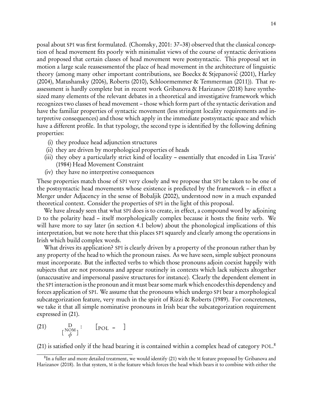posal about SPI was first formulated. [\(Chomsky, 2001](#page-38-5): 37–38) observed that the classical conception of head movement fits poorly with minimalist views of the course of syntactic derivations and proposed that certain classes of head movement were postsyntactic. This proposal set in motion a large scale reassessmentof the place of head movement in the architecture of linguistic theory (among many other important contributions, see Boeckx & Stjepanović (2001), [Harley](#page-40-2) [\(2004](#page-40-2)), [Matushansky \(2006](#page-41-7)), [Roberts \(2010](#page-43-8)), [Schloormemmer &](#page-44-5) Temmerman [\(2011\)](#page-44-5)). That reassessment is hardly complete but in recent work [Gribanova &](#page-39-8) Harizanov [\(2018](#page-39-8)) have synthesized many elements of the relevant debates in a theoretical and investigative framework which recognizes two classes of head movement – those which form part of the syntactic derivation and have the familiar properties of syntactic movement (less stringent locality requirements and interpretive consequences) and those which apply in the immediate postsyntactic space and which have a different profile. In that typology, the second type is identified by the following defining properties:

- (i) they produce head adjunction structures
- (ii) they are driven by morphological properties of heads
- (iii) they obey a particularly strict kind of locality essentially that encoded in Lisa Travis' [\(1984\)](#page-44-4) Head Movement Constraint
- (iv) they have no interpretive consequences

These properties match those of SPI very closely and we propose that SPI be taken to be one of the postsyntactic head movements whose existence is predicted by the framework – in effect a Merger under Adjacency in the sense of [Bobaljik \(2002\)](#page-37-7), understood now in a much expanded theoretical context. Consider the properties of SPI in the light of this proposal.

We have already seen that what SPI does is to create, in effect, a compound word by adjoining D to the polarity head – itself morphologically complex because it hosts the finite verb. We will have more to say later (in section [4.1](#page-19-0) below) about the phonological implications of this interpretation, but we note here that this places SPI squarely and clearly among the operations in Irish which build complex words.

What drives its application? SPI is clearly driven by a property of the pronoun rather than by any property of the head to which the pronoun raises. As we have seen, simple subject pronouns must incorporate. But the inflected verbs to which those pronouns adjoin coexist happily with subjects that are not pronouns and appear routinely in contexts which lack subjects altogether (unaccusative and impersonal passive structures for instance). Clearly the dependent element in the SPI interaction is the pronoun and it must bear some mark which encodes this dependency and forces application of SPI. We assume that the pronouns which undergo SPI bear a morphological subcategorization feature, very much in the spirit of [Rizzi & Roberts \(1989\)](#page-43-9). For concreteness, we take it that all simple nominative pronouns in Irish bear the subcategorization requirement expressed in (21).

<span id="page-13-1"></span> $\Box(21)$  D  $\left[\begin{array}{c} NOM \\ A \end{array}\right]$ *φ* ] : [POL – ]

(21) is satisfied only if the head bearing it is contained within a complex head of category POL. [8](#page-13-0)

<span id="page-13-0"></span> ${}^{8}{\rm In}$  a fuller and more detailed treatment, we would identify [\(21\)](#page-13-1) with the M feature proposed by Gribanova and Harizanov [\(2018](#page-39-8)). In that system, M is the feature which forces the head which bears it to combine with either the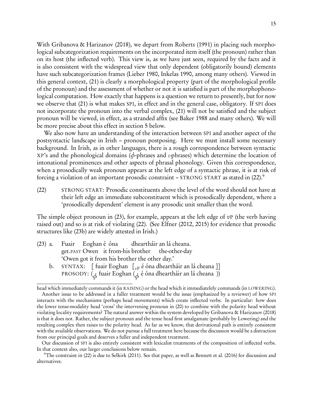With [Gribanova & Harizanov \(2018](#page-39-8)), we depart from [Roberts \(1991](#page-43-10)) in placing such morphological subcategorization requirements on the incorporated item itself (the pronoun) rather than on its host (the inflected verb). This view is, as we have just seen, required by the facts and it is also consistent with the widespread view that only dependent (obligatorily bound) elements have such subcategorization frames [\(Lieber 1980,](#page-41-9) [Inkelas 1990](#page-40-3), among many others). Viewed in this general context, (21) is clearly a morphological property (part of the morphological profile of the pronoun) and the assessment of whether or not it is satisfied is part of the morphophonological computation. How exactly that happens is a question we return to presently, but for now we observe that (21) is what makes SPI, in effect and in the general case, obligatory. If SPI does not incorporate the pronoun into the verbal complex, (21) will not be satisfied and the subject pronoun will be viewed, in effect, as a stranded affix (see [Baker](#page-37-8) [1988](#page-37-8) and many others). We will be more precise about this effect in section [5](#page-27-0) below.

We also now have an understanding of the interaction between SPI and another aspect of the postsyntactic landscape in Irish – pronoun postposing. Here we must install some necessary background. In Irish, as in other languages, there is a rough correspondence between syntactic XP's and the phonological domains (*φ*-phrases and *ι*-phrases) which determine the location of intonational prominences and other aspects of phrasal phonology. Given this correspondence, when a prosodically weak pronoun appears at the left edge of a syntactic phrase, it is at risk of forcing a violation of an important prosodic constraint – STRONG START as stated in (22).<sup>[9](#page-14-0)</sup>

<span id="page-14-1"></span>(22) STRONG START: Prosodic constituents above the level of the word should not have at their left edge an immediate subconstituent which is prosodically dependent, where a 'prosodically dependent' element is any prosodic unit smaller than the word.

The simple object pronoun in (23), for example, appears at the left edge of  $vP$  (the verb having raised out) and so is at risk of violating (22). (See [Elfner \(2012,](#page-39-0) [2015](#page-39-1)) for evidence that prosodic structures like (23b) are widely attested in Irish.)

- (23) a. Fuair get.PAST Owen it from-his brother Eoghan é óna dheartháir an lá cheana. the-other-day 'Owen got it from his brother the other day.'
	- b.  $\,$  SYNTAX:  $\,$  [ fuair Eoghan  $\,$  [ $_{vP}$  é óna dheartháir an lá cheana ]] PROSODY: (*<sup>φ</sup>* fuair Eoghan (*<sup>φ</sup>* é óna dheartháir an lá cheana ))

Our discussion of SPI is also entirely consistent with lexicalist treatments of the composition of inflected verbs. In that context also, our larger conclusions below remain.

<span id="page-14-0"></span> $9$ The constraint in [\(22\)](#page-14-1) is due to [Selkirk \(2011](#page-44-6)). See that paper, as well as [Bennett et al. \(2016](#page-37-0)) for discussion and alternatives.

head which immediately commands it (in RAISING) or the head which it immediatelely commands (in LOWERING). Another issue to be addressed in a fuller treatment would be the issue (emphasized by a reviewer) of how SPI interacts with the mechanisms (perhaps head movements) which create inflected verbs. In particular: how does the lower tense-modality head 'cross' the intervening pronoun in [\(20\)](#page-11-0) to combine with the polarity head without violating locality requirements? The natural answer within the system developed by [Gribanova & Harizanov \(2018](#page-39-8)) is that it does not. Rather, the subject pronoun and the tense head first amalgamate (probably by Lowering) and the resulting complex then raises to the polarity head. As far as we know, that derivational path is entirely consistent with the available observations. We do not pursue a full treatment here because the discussion would be a distraction from our principal goals and deserves a fuller and independent treatment.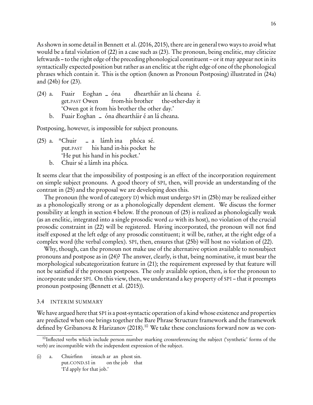As shown in some detail in [Bennett et al. \(2016,](#page-37-0) [2015\)](#page-37-9), there are in general two ways to avoid what would be a fatal violation of [\(22\)](#page-14-1) in a case such as (23). The pronoun, being enclitic, may cliticize leftwards – to the right edge of the preceding phonological constituent – or it may appear not in its syntactically expected position but rather as an enclitic at the right edge of one of the phonological phrases which contain it. This is the option (known as Pronoun Postposing) illustrated in (24a) and (24b) for (23).

- (24) a. Fuair get.PAST Owen Eoghan – óna from-his brother dheartháir an lá cheana é. the-other-day it 'Owen got it from his brother the other day.'
	- b. Fuair Eoghan óna dheartháir é an lá cheana.

Postposing, however, is impossible for subject pronouns.

- (25) a. \*Chuir put.PAST – a lámh ina phóca sé. his hand in-his pocket he 'He put his hand in his pocket.'
	- b. Chuir sé a lámh ina phóca.

It seems clear that the impossibility of postposing is an effect of the incorporation requirement on simple subject pronouns. A good theory of SPI, then, will provide an understanding of the contrast in (25) and the proposal we are developing does this.

The pronoun (the word of category D) which must undergo SPI in (25b) may be realized either as a phonologically strong or as a phonologically dependent element. We discuss the former possibility at length in section [4](#page-16-0) below. If the pronoun of (25) is realized as phonologically weak (as an enclitic, integrated into a single prosodic word *ω* with its host), no violation of the crucial prosodic constraint in [\(22\)](#page-14-1) will be registered. Having incorporated, the pronoun will not find itself exposed at the left edge of any prosodic constituent; it will be, rather, at the right edge of a complex word (the verbal complex). SPI, then, ensures that (25b) will host no violation of [\(22\).](#page-14-1)

Why, though, can the pronoun not make use of the alternative option available to nonsubject pronouns and postpose as in (24)? The answer, clearly, is that, being nominative, it must bear the morphological subcategorization feature in [\(21\);](#page-13-1) the requirement expressed by that feature will not be satisfied if the pronoun postposes. The only available option, then, is for the pronoun to incorporate under SPI. On this view, then, we understand a key property of SPI – that it preempts pronoun postposing [\(Bennett et al. \(2015](#page-37-9))).

#### 3.4 INTERIM SUMMARY

We have argued here that SPI is a post-syntactic operation of a kind whose existence and properties are predicted when one brings together the Bare Phrase Structure framework and the framework defined by [Gribanova & Harizanov \(2018\)](#page-39-8).<sup>[10](#page-15-0)</sup> We take these conclusions forward now as we con-

(i) a. Chuirfinn put.COND.S1 in isteach ar an phost sin. on the job that 'I'd apply for that job.'

<span id="page-15-0"></span><sup>&</sup>lt;sup>10</sup>Inflected verbs which include person number marking crossreferencing the subject ('synthetic' forms of the verb) are incompatible with the independent expression of the subject.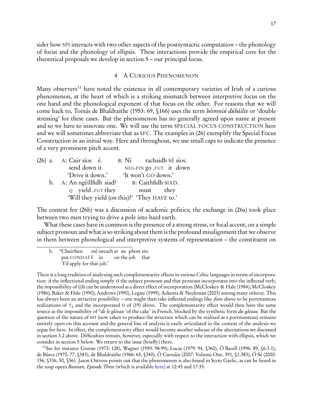17

sider how SPI interacts with two other aspects of the postsyntactic computation – the phonology of focus and the phonology of ellipsis. These interactions provide the empirical core for the theoretical proposals we develop in section [5](#page-27-0) – our principal focus.

### <span id="page-16-2"></span>4 A CURIOUS PHENOMENON

<span id="page-16-0"></span>Many observers<sup>[11](#page-16-1)</sup> have noted the existence in all contemporary varieties of Irish of a curious phenomenon, at the heart of which is a striking mismatch between interpretive focus on the one hand and the phonological exponent of that focus on the other. For reasons that we will come back to, Tomás [de Bhaldraithe \(1953](#page-37-10): 69, §166) uses the term béimniú dúbáilte or 'double stressing' for these cases. But the phenomenon has no generally agreed upon name at present and so we have to innovate one. We will use the term SPECIAL FOCUS CONSTRUCTION here and we will sometimes abbreviate that as SFC. The examples in (26) exemplify the Special Focus Construction in an initial way. Here and throughout, we use small caps to indicate the presence of a very prominent pitch accent.

|  | $(26)$ a. A: Cuir sios é.                    | $B: N'_1$ rachaidh SÉ síos. |                         |
|--|----------------------------------------------|-----------------------------|-------------------------|
|  | send down it                                 |                             | NEG-FIN go .FUT it down |
|  | 'Drive it down.'                             | 'It won't GO down.'         |                         |
|  | b. A: An ngéillfidh siad?                    | B: Caithfidh SIAD.          |                         |
|  | $Q$ yield .FUT they                          | must they                   |                         |
|  | 'Will they yield (on this)?' 'They HAVE to.' |                             |                         |

The context for (26b) was a discussion of academic politics; the exchange in (26a) took place between two men trying to drive a pole into hard earth.

What these cases have in common is the presence of a strong stress, or focal accent, on a simple subject pronoun and what is so striking about them is the profound misalignment that we observe in them between phonological and interpretive systems of representation – the constituent on

There is a long tradition of analyzing such complementarity effects in various Celtic languages in terms of incorporation: if the inflectional ending simply IS the subject pronoun and that pronoun incorporates into the inflected verb, the impossibility of (i)b can be understood as a direct effect of incorporation [\(McCloskey & Hale \(1984\)](#page-42-8), [McCloskey](#page-41-10) [\(1986](#page-41-10)), [Baker & Hale \(1990\)](#page-37-11), [Andrews \(1990](#page-37-12)), [Legate \(1999](#page-41-11)), [Ackema & Neeleman \(2003\)](#page-37-13) among many others). This has always been an attractive possibility – one might then take inflected endings like -finn above to be portmanteau realizations of  $\texttt{T}_2$  and the incorporated D of [\(19\)](#page-10-2) above. The complementarity effect would then have the same source as the impossibility of \*de le gâteau 'of the cake' in French, blocked by the synthetic form du gâteau. But the question of the nature of SPI (now taken to produce the structure which can be realized as a portmanteau) remains entirely open on this account and the general line of analysis is easily articulated in the context of the analysis we argue for here. In effect, the complementarity effect would become another subcase of the alternations we discussed in section [3.2](#page-7-0) above. Difficulties remain, however, especially with respect to the interaction with ellipsis, which we consider in section [5](#page-27-0) below. We return to the issue (briefly) there.

<span id="page-16-1"></span><sup>11</sup>See for instance [Greene \(1973](#page-39-6): 128), [Wagner \(1959](#page-44-1): 98-99), [Lucas \(1979](#page-41-5): 94, §360), [Ó Baoill \(1996](#page-42-10): 89, §6.3.1), [de Búrca \(1970:](#page-38-7) 77, §383), [de Bhaldraithe \(1966](#page-37-2): 65, §340), [Ó Curnáin \(2007](#page-42-12): Volume One, 391, §1.383), [Ó Sé \(2000](#page-43-4): 156, §336, 50, §56). Jason Ostrove points out that the phenomenon is also found in Scots Gaelic, as can be heard in the soap opera Bannan, Episode Three (which is available [here\)](https://www.youtube.com/watch?v=DZgXDfMCXPg&list=PL2XklKjHnoXTb3Rtr66i-pHWW2mFJ0yaO&index=3) at 12:45 and 17:35.

b. \*Chuirfinn put.COND.S1 I in mé isteach ar an phost sin. on the job that 'I'd apply for that job.'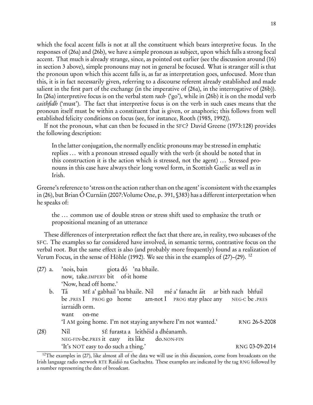which the focal accent falls is not at all the constituent which bears interpretive focus. In the responses of (26a) and (26b), we have a simple pronoun as subject, upon which falls a strong focal accent. That much is already strange, since, as pointed out earlier (see the discussion around [\(16\)](#page-7-1) in section [3](#page-6-0) above), simple pronouns may not in general be focused. What is stranger still is that the pronoun upon which this accent falls is, as far as interpretation goes, unfocused. More than this, it is in fact necessarily given, referring to a discourse referent already established and made salient in the first part of the exchange (in the imperative of (26a), in the interrogative of (26b)). In (26a) interpretive focus is on the verbal stem rach- ('go'), while in (26b) it is on the modal verb caithfidh ('must'). The fact that interpretive focus is on the verb in such cases means that the pronoun itself must be within a constituent that is given, or anaphoric; this follows from well established felicity conditions on focus (see, for instance, [Rooth \(1985](#page-43-11), [1992\)](#page-43-12)).

If not the pronoun, what can then be focused in the SFC? David Greene [\(1973](#page-39-6):128) provides the following description:

In the latter conjugation, the normally enclitic pronouns may be stressed in emphatic replies ... with a pronoun stressed equally with the verb (it should be noted that in this construction it is the action which is stressed, not the agent) ... Stressed pronouns in this case have always their long vowel form, in Scottish Gaelic as well as in Irish.

Greene's reference to 'stress on the action rather than on the agent' is consistent with the examples in (26), but Brian Ó Curnáin [\(2007:](#page-42-12)Volume One, p. 391, §383) has a different interpretation when he speaks of:

the ... common use of double stress or stress shift used to emphasize the truth or propositional meaning of an utterance

These differences of interpretation reflect the fact that there are, in reality, two subcases of the SFC. The examples so far considered have involved, in semantic terms, contrastive focus on the verbal root. But the same effect is also (and probably more frequently) found as a realization of Verum Focus, in the sense of [Höhle \(1992\)](#page-40-4). We see this in the examples of (27)[–\(29\).](#page-17-0) [12](#page-17-1)

| $(27)$ a. 'nois, bain |                                 |  | giota dó 'na bhaile. |
|-----------------------|---------------------------------|--|----------------------|
|                       | now, take.IMPERV bit of-it home |  |                      |
|                       | 'Now, head off home.'           |  |                      |

b. Tá be .PRES I PROG go home MÉ a' gabhail 'na bhaile. Níl am-not I PROG stay place any mé a' fanacht áit ar bith nach bhfuil NEG-C be .PRES iarraidh orm.

<span id="page-17-2"></span>want on-me

'I AM going home. I'm not staying anywhere I'm not wanted.' RNG 26-5-2008

(28) Níl NEG-FIN-be.PRES it easy its like SÉ furasta a leithéid a dhéanamh. do.NON-FIN 'It's NOT easy to do such a thing.' RNG 03-09-2014

<span id="page-17-1"></span><span id="page-17-0"></span><sup>&</sup>lt;sup>12</sup>The examples in  $(27)$ , like almost all of the data we will use in this discussion, come from broadcasts on the Irish language radio network RTE Raidió na Gaeltachta. These examples are indicated by the tag RNG followed by a number representing the date of broadcast.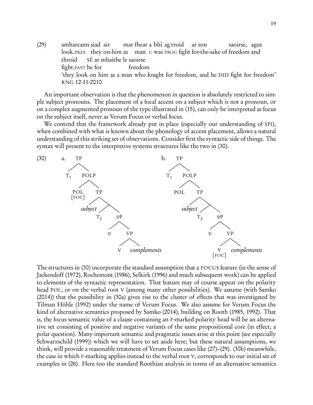(29) amharcann siad air look.PRES they on-him as man C was PROG fight for-the-sake of freedom and mar fhear a bhí ag troid ar son saoirse, agus throid fight.PAST he for SÉ ar mhaithe le saoirse freedom 'they look on him as a man who fought for freedom, and he DID fight for freedom' RNG 12-11-2010

An important observation is that the phenomenon in question is absolutely restricted to simple subject pronouns. The placement of a focal accent on a subject which is not a pronoun, or on a complex augmented pronoun of the type illustrated in [\(15\),](#page-6-1) can only be interpreted as focus on the subject itself, never as Verum Focus or verbal focus.

<span id="page-18-0"></span>We contend that the framework already put in place (especially our understanding of SPI), when combined with what is known about the phonology of accent placement, allows a natural understanding of this striking set of observations. Consider first the syntactic side of things. The syntax will present to the interpretive systems structures like the two in (30).



The structures in (30) incorporate the standard assumption that a FOCUS feature (in the sense of [Jackendoff \(1972\)](#page-40-5), [Rochemont \(1986](#page-43-13)), [Selkirk \(1996\)](#page-44-7) and much subsequent work) can be applied to elements of the syntactic representation. That feature may of course appear on the polarity head POL, or on the verbal root V (among many other possibilities). We assume (with [Samko](#page-44-8) [\(2014](#page-44-8))) that the possibility in (30a) gives rise to the cluster of effects that was investigated by Tilman Höhle [\(1992\)](#page-40-4) under the name of Verum Focus. We also assume for Verum Focus the kind of alternative semantics proposed by [Samko \(2014](#page-44-8)), building on [Rooth \(1985,](#page-43-11) [1992\)](#page-43-12). That is, the focus semantic value of a clause containing an F-marked polarity head will be an alternative set consisting of positive and negative variants of the same propositional core (in effect, a polar question). Many important semantic and pragmatic issues arise at this point (see especially [Schwarzschild \(1999\)](#page-44-9)) which we will have to set aside here; but these natural assumptions, we think, will provide a reasonable treatment of Verum Focus cases like [\(27\)](#page-17-2)[–\(29\).](#page-17-0) (30b) meanwhile, the case in which F-marking applies instead to the verbal root V, corresponds to our initial set of examples in [\(26\).](#page-16-2) Here too the standard Roothian analysis in terms of an alternative semantics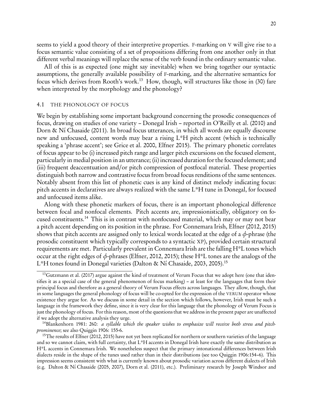seems to yield a good theory of their interpretive properties. F-marking on V will give rise to a focus semantic value consisting of a set of propositions differing from one another only in that different verbal meanings will replace the sense of the verb found in the ordinary semantic value.

All of this is as expected (one might say inevitable) when we bring together our syntactic assumptions, the generally available possibility of F-marking, and the alternative semantics for focus which derives from Rooth's work.<sup>[13](#page-19-1)</sup> How, though, will structures like those in (30) fare when interpreted by the morphology and the phonology?

#### <span id="page-19-0"></span>4.1 THE PHONOLOGY OF FOCUS

We begin by establishing some important background concerning the prosodic consequences of focus, drawing on studies of one variety – Donegal Irish – reported in [O'Reilly et al. \(2010\)](#page-43-14) and [Dorn & Ní Chasaide \(2011\)](#page-38-8). In broad focus utterances, in which all words are equally discourse new and unfocused, content words may bear a rising L\*H pitch accent (which is technically speaking a 'phrase accent'; see [Grice et al. 2000](#page-39-9), [Elfner 2015\)](#page-39-1). The primary phonetic correlates of focus appear to be (i) increased pitch range and larger pitch excursions on the focused element, particularly in medial position in an utterance; (ii) increased duration for the focused element; and (iii) frequent deaccentuation and/or pitch compression of postfocal material. These properties distinguish both narrow and contrastive focus from broad focus renditions of the same sentences. Notably absent from this list of phonetic cues is any kind of distinct melody indicating focus: pitch accents in declaratives are always realized with the same L\*H tune in Donegal, for focused and unfocused items alike.

Along with these phonetic markers of focus, there is an important phonological difference between focal and nonfocal elements. Pitch accents are, impressionistically, obligatory on focused constituents.[14](#page-19-2) This is in contrast with nonfocused material, which may or may not bear a pitch accent depending on its position in the phrase. For Connemara Irish, [Elfner \(2012,](#page-39-0) [2015](#page-39-1)) shows that pitch accents are assigned only to lexical words located at the edge of a *φ*-phrase (the prosodic constituent which typically corresponds to a syntactic XP), provided certain structural requirements are met. Particularly prevalent in Connemara Irish are the falling H\*L tones which occur at the right edges of *φ*-phrases [\(Elfner, 2012,](#page-39-0) [2015](#page-39-1)); these H\*L tones are the analogs of the L<sup>\*</sup>H tones found in Donegal varieties [\(Dalton & Ní Chasaide, 2003,](#page-38-9) [2005](#page-38-10)).<sup>[15](#page-19-3)</sup>

<span id="page-19-2"></span><sup>14</sup>[Blankenhorn 1981](#page-37-14): 260: *a syllable which the speaker wishes to emphasize will receive both stress and pitch*prominence; see also [Quiggin 1906](#page-43-3): 155-6.

<span id="page-19-1"></span><sup>&</sup>lt;sup>13</sup>[Gutzmann et al. \(2017](#page-39-10)) argue against the kind of treatment of Verum Focus that we adopt here (one that identifies it as a special case of the general phenomenon of focus marking) – at least for the languages that form their principal focus and therefore as a general theory of Verum Focus effects across languages. They allow, though, that in some languages the general phonology of focus will be co-opted for the expression of the VERUM operator whose existence they argue for. As we discuss in some detail in the section which follows, however, Irish must be such a language in the framework they define, since it is very clear for this language that the phonology of Verum Focus is just the phonology of focus. For this reason, most of the questions that we address in the present paper are unaffected if we adopt the alternative analysis they urge.

<span id="page-19-3"></span><sup>&</sup>lt;sup>15</sup>The results of [Elfner \(2012](#page-39-0), [2015\)](#page-39-1) have not yet been replicated for northern or southern varieties of the language and so we cannot claim, with full certainty, that L\*H accents in Donegal Irish have exactly the same distribution as H\*L accents in Connemara Irish. We nonetheless suspect that the primary intonational differences between Irish dialects reside in the shape of the tunes used rather than in their distributions (see too [Quiggin 1906:](#page-43-3)154–6). This impression seems consistent with what is currently known about prosodic variation across different dialects of Irish (e.g. [Dalton & Ní Chasaide \(2005,](#page-38-10) [2007\)](#page-38-11), [Dorn et al. \(2011\)](#page-38-12), etc.). Preliminary research by Joseph Windsor and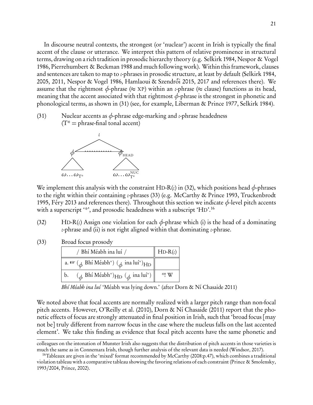In discourse neutral contexts, the strongest (or 'nuclear') accent in Irish is typically the final accent of the clause or utterance. We interpret this pattern of relative prominence in structural terms, drawing on a rich tradition in prosodic hierarchy theory (e.g. [Selkirk 1984](#page-44-10), [Nespor & Vogel](#page-42-17) [1986,](#page-42-17) [Pierrehumbert & Beckman 1988](#page-43-15) and much following work). Within this framework, clauses and sentences are taken to map to *ι*-phrases in prosodic structure, at least by default [\(Selkirk 1984,](#page-44-10) [2005,](#page-44-11) [2011,](#page-44-6) [Nespor & Vogel 1986,](#page-42-17) Hamlaoui & Szendrői 2015, [2017](#page-40-7) and references there). We assume that the rightmost  $\phi$ -phrase ( $\approx$  XP) within an *ι*-phrase ( $\approx$  clause) functions as its head, meaning that the accent associated with that rightmost *φ*-phrase is the strongest in phonetic and phonological terms, as shown in (31) (see, for example, [Liberman & Prince 1977](#page-41-12), [Selkirk 1984\)](#page-44-10).

(31) Nuclear accents as *φ*-phrase edge-marking and *ι*-phrase headedness  $(T^* =$  phrase-final tonal accent)



We implement this analysis with the constraint HD-R( $\iota$ ) in (32), which positions head  $\phi$ -phrases to the right within their containing *ι*-phrases [\(33\)](#page-20-0) (e.g. [McCarthy & Prince 1993,](#page-41-13) [Truckenbrodt](#page-44-12) [1995,](#page-44-12) [Féry 2013](#page-39-11) and references there). Throughout this section we indicate *φ*-level pitch accents with a superscript '\*', and prosodic headedness with a subscript 'HD'.<sup>[16](#page-20-1)</sup>

- <span id="page-20-0"></span>(32) HD-R(*ι*) Assign one violation for each *φ*-phrase which (i) is the head of a dominating *ι*-phrase and (ii) is not right aligned within that dominating *ι*-phrase.
- (33) Broad focus prosody

| / Bhí Méabh ina luí /                                                                                                                                                                                                                                                                                                                                                                                                                         | $HD-R(\iota)$ |
|-----------------------------------------------------------------------------------------------------------------------------------------------------------------------------------------------------------------------------------------------------------------------------------------------------------------------------------------------------------------------------------------------------------------------------------------------|---------------|
| a. $\mathbb{R}$ ( $_{\phi}$ Bhí Méabh*) ( $_{\phi}$ ina luí*) $_{\rm HD}$                                                                                                                                                                                                                                                                                                                                                                     |               |
| $\left(\begin{smallmatrix} \mathbf{0} & \mathbf{0} & \mathbf{0} & \mathbf{0} & \mathbf{0} & \mathbf{0} & \mathbf{0} & \mathbf{0} & \mathbf{0} & \mathbf{0} & \mathbf{0} & \mathbf{0} & \mathbf{0} & \mathbf{0} & \mathbf{0} & \mathbf{0} & \mathbf{0} & \mathbf{0} & \mathbf{0} & \mathbf{0} & \mathbf{0} & \mathbf{0} & \mathbf{0} & \mathbf{0} & \mathbf{0} & \mathbf{0} & \mathbf{0} & \mathbf{0} & \mathbf{0} & \mathbf{0} & \math$<br>b. | $*!$ W        |

Bhí Méabh ina luí 'Méabh was lying down.' (after [Dorn & Ní Chasaide 2011\)](#page-38-8)

We noted above that focal accents are normally realized with a larger pitch range than non-focal pitch accents. However, [O'Reilly et al. \(2010](#page-43-14)), [Dorn & Ní Chasaide \(2011](#page-38-8)) report that the phonetic effects of focus are strongly attenuated in final position in Irish, such that 'broad focus [may not be] truly different from narrow focus in the case where the nucleus falls on the last accented element'. We take this finding as evidence that focal pitch accents have the same phonetic and

colleagues on the intonation of Munster Irish also suggests that the distribution of pitch accents in those varieties is much the same as in Connemara Irish, though further analysis of the relevant data is needed [\(Windsor, 2017\)](#page-45-0).

<span id="page-20-1"></span><sup>16</sup>Tableaux are given in the 'mixed' format recommended by [McCarthy \(2008:](#page-41-14)p.47), which combines a traditional violation tableau with a comparative tableau showing the favoring relations of each constraint [\(Prince & Smolensky](#page-43-0), 1993/[2004,](#page-43-0) [Prince](#page-43-16), [2002\)](#page-43-16).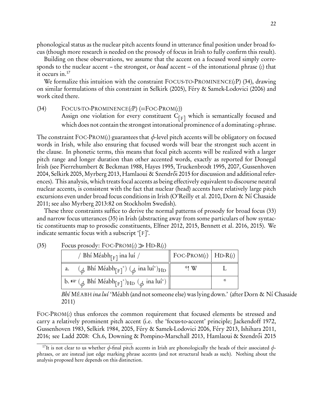phonological status as the nuclear pitch accents found in utterance final position under broad focus (though more research is needed on the prosody of focus in Irish to fully confirm this result).

Building on these observations, we assume that the accent on a focused word simply corresponds to the nuclear accent – the strongest, or head accent – of the intonational phrase (*ι*) that it occurs in.[17](#page-21-0)

We formalize this intuition with the constraint FOCUS-TO-PROMINENCE(*ι*P) (34), drawing on similar formulations of this constraint in [Selkirk \(2005](#page-44-11)), [Féry & Samek-Lodovici \(2006](#page-39-12)) and work cited there.

(34) FOCUS-TO-PROMINENCE(*ι*P) (=FOC-PROM(*ι*)) Assign one violation for every constituent  $C_{[F]}$  which is semantically focused and which does not contain the strongest intonational prominence of a dominating *ι*-phrase.

The constraint FOC-PROM(*ι*) guarantees that *φ*-level pitch accents will be obligatory on focused words in Irish, while also ensuring that focused words will bear the strongest such accent in the clause. In phonetic terms, this means that focal pitch accents will be realized with a larger pitch range and longer duration than other accented words, exactly as reported for Donegal Irish (see [Pierrehumbert & Beckman 1988,](#page-43-15) [Hayes 1995](#page-40-8), [Truckenbrodt 1995,](#page-44-12) [2007](#page-44-13), [Gussenhoven](#page-39-13) [2004,](#page-39-13) [Selkirk 2005](#page-44-11), [Myrberg 2013,](#page-42-18) Hamlaoui & Szendrői 2015 for discussion and additional references). This analysis, which treats focal accents as being effectively equivalent to discourse neutral nuclear accents, is consistent with the fact that nuclear (head) accents have relatively large pitch excursions even under broad focus conditions in Irish [\(O'Reilly et al. 2010,](#page-43-14) [Dorn & Ní Chasaide](#page-38-8) [2011;](#page-38-8) see also [Myrberg 2013](#page-42-18):82 on Stockholm Swedish).

These three constraints suffice to derive the normal patterns of prosody for broad focus [\(33\)](#page-20-0) and narrow focus utterances (35) in Irish (abstracting away from some particulars of how syntactic constituents map to prosodic constituents, [Elfner 2012](#page-39-0), [2015](#page-39-1), [Bennett et al. 2016,](#page-37-0) [2015\)](#page-37-9). We indicate semantic focus with a subscript '[F]'.

| (35) | Focus prosody: $\text{Foc-PROM}(\iota) \gg \text{HD-R}(\iota)$ |
|------|----------------------------------------------------------------|
|      |                                                                |

<span id="page-21-1"></span>

| / Bhí Méabh $_{\lceil F \rceil}$ ina luí /                                                   | $\parallel$ FOC-PROM(t) $\parallel$ HD-R(t) |  |
|----------------------------------------------------------------------------------------------|---------------------------------------------|--|
| $(\phi$ Bhí Méabh <sub>[F]</sub> *) $(\phi$ ina luí*) <sub>HD</sub><br>a.                    | $*!$ W                                      |  |
| b. $\mathbb{R}$ ( $_{\phi}$ Bhí Méabh $_{\lceil F \rceil}$ *) $_{\text{HD }}(\phi$ ina luí*) |                                             |  |

Bhí MÉABH i*na luí* 'Méabh (and not someone else) was lying down.' (after [Dorn & Ní Chasaide](#page-38-8) [2011](#page-38-8))

FOC-PROM(*ι*) thus enforces the common requirement that focused elements be stressed and carry a relatively prominent pitch accent (i.e. the 'focus-to-accent' principle; [Jackendoff 1972,](#page-40-5) [Gussenhoven 1983,](#page-39-14) [Selkirk 1984](#page-44-10), [2005](#page-44-11), [Féry & Samek-Lodovici 2006,](#page-39-12) [Féry 2013](#page-39-11), [Ishihara 2011,](#page-40-9) [2016;](#page-40-10) see [Ladd 2008:](#page-41-15) Ch.6, [Downing & Pompino-Marschall 2013,](#page-38-13) Hamlaoui & Szendrői 2015

<span id="page-21-0"></span><sup>&</sup>lt;sup>17</sup>It is not clear to us whether  $\phi$ -final pitch accents in Irish are phonologically the heads of their associated  $\phi$ phrases, or are instead just edge marking phrase accents (and not structural heads as such). Nothing about the analysis proposed here depends on this distinction.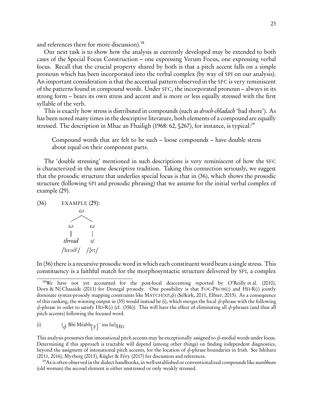and references there for more discussion).[18](#page-22-0)

Our next task is to show how the analysis as currently developed may be extended to both cases of the Special Focus Construction – one expressing Verum Focus, one expressing verbal focus. Recall that the crucial property shared by both is that a pitch accent falls on a simple pronoun which has been incorporated into the verbal complex (by way of SPI on our analysis). An important consideration is that the accentual pattern observed in the SFC is very reminiscent of the patterns found in compound words. Under SFC, the incorporated pronoun – always in its strong form – bears its own stress and accent and is more or less equally stressed with the first syllable of the verb.

This is exactly how stress is distributed in compounds (such as *droch-chladach* 'bad shore'). As has been noted many times in the descriptive literature, both elements of a compound are equally stressed. The description in [Mhac an Fhailigh \(1968:](#page-42-19) 62, \$267), for instance, is typical:<sup>[19](#page-22-1)</sup>

Compound words that are felt to be such – loose compounds – have double stress about equal on their component parts.

The 'double stressing' mentioned in such descriptions is very reminiscent of how the SFC is characterized in the same descriptive tradition. Taking this connection seriously, we suggest that the prosodic structure that underlies special focus is that in (36), which shows the prosodic structure (following SPI and prosodic phrasing) that we assume for the initial verbal complex of example [\(29\).](#page-17-0)

<span id="page-22-2"></span>(36) EXAMPLE (29):  
\n
$$
\omega
$$
  
\n $\omega$   
\n $\omega$ 

$$
\begin{array}{cc}\n & | & | \\
\text{throid} & \text{sf} \\
\text{/hrəd}^{\text{j}} / & \text{/fe:}/\n\end{array}
$$

In (36) there is a recursive prosodic word in which each constituent word bears a single stress. This constituency is a faithful match for the morphosyntactic structure delivered by SPI, a complex

This analysis presumes that intonational pitch accents may be exceptionally assigned to *φ*-medial words under focus. Determining if this approach is tractable will depend (among other things) on finding independent diagnostics, beyond the assigment of intonational pitch accents, for the location of *φ*-phrase boundaries in Irish. See [Ishihara](#page-40-9) [\(2011](#page-40-9), [2016](#page-40-10)), [Myrberg \(2013\)](#page-42-18), [Kügler & Féry \(2017](#page-41-16)) for discussion and references.

<span id="page-22-1"></span> $19$ As is often observed in the dialect handbooks, in well-established or conventionalized compounds like seanbhean (old woman) the second element is either unstressed or only weakly stressed.

<span id="page-22-0"></span><sup>18</sup>We have not yet accounted for the post-focal deaccenting reported by [O'Reilly et al. \(2010](#page-43-14)), [Dorn & Ní Chasaide \(2011\)](#page-38-8) for Donegal prosody. One possibility is that FOC-PROM(*ι*) and HD-R(*ι*) jointly dominate syntax-prosody mapping constraints like MATCH(XP,*φ*) [\(Selkirk, 2011](#page-44-6), [Elfner](#page-39-1), [2015\)](#page-39-1). As a consequence of this ranking, the winning output in (35) would instead be (i), which merges the focal *φ*-phrase with the following *φ*-phrase in order to satisfy HD-R(*ι*) (cf. (35b)). This will have the effect of eliminating all *φ*-phrases (and thus all pitch accents) following the focused word.

<sup>(</sup>i) (*<sup>φ</sup>* Bhí Méabh[F] ∗ ina luí)H<sup>D</sup>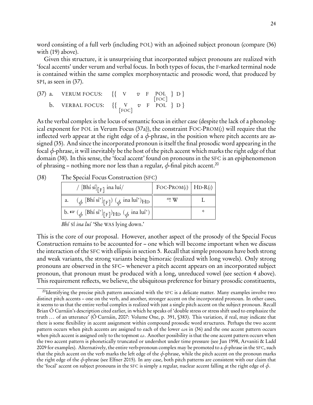word consisting of a full verb (including POL) with an adjoined subject pronoun (compare (36) with [\(19\)](#page-10-2) above).

Given this structure, it is unsurprising that incorporated subject pronouns are realized with 'focal accents' under verum and verbal focus. In both types of focus, the F-marked terminal node is contained within the same complex morphosyntactic and prosodic word, that produced by SPI, as seen in (37).

(37) a. VERUM FOCUS: 
$$
\{ \begin{array}{ccc} \{ V & v \in POL \} D \} \\ \text{b. VERBAL FOCUS: } \{ \begin{array}{ccc} \{ V & v \in POL \} D \end{array} \} \end{array}
$$

As the verbal complex is the locus of semantic focus in either case (despite the lack of a phonological exponent for POL in Verum Focus (37a)), the constraint FOC-PROM(*ι*) will require that the inflected verb appear at the right edge of a  $\phi$ -phrase, in the position where pitch accents are assigned [\(35\).](#page-21-1) And since the incorporated pronoun is itself the final prosodic word appearing in the focal *φ*-phrase, it will inevitably be the host of the pitch accent which marks the right edge of that domain (38). In this sense, the 'focal accent' found on pronouns in the SFC is an epiphenomenon of phrasing – nothing more nor less than a regular,  $\phi$ -final pitch accent.<sup>[20](#page-23-0)</sup>

| The Special Focus Construction (SFC)                                                                    |                                       |   |
|---------------------------------------------------------------------------------------------------------|---------------------------------------|---|
| / [Bhí sí] <sub>[F]</sub> ina luí/                                                                      | FOC-PROM( $\iota$ )   HD-R( $\iota$ ) |   |
| $\mathcal{A}(\phi \text{ [Bhí sí*]}_{\text{F}})$ $\mathcal{A}(\phi \text{ ina luí*})_{\text{HD}}$<br>а. | $*!$ W                                |   |
| b. $\mathbb{R} \left( \phi \left[ \text{Bhí sí*} \right]_{F} \right)$ HD $(\phi \text{ ina luí*})$      |                                       | × |

(38) The Special Focus Construction (SFC)

Bhí SÍ ina luí 'She WAS lying down.'

This is the core of our proposal. However, another aspect of the prosody of the Special Focus Construction remains to be accounted for – one which will become important when we discuss the interaction of the SFC with ellipsis in section [5.](#page-27-0) Recall that simple pronouns have both strong and weak variants, the strong variants being bimoraic (realized with long vowels). Only strong pronouns are observed in the SFC– whenever a pitch accent appears on an incorporated subject pronoun, that pronoun must be produced with a long, unreduced vowel (see section [4](#page-16-0) above). This requirement reflects, we believe, the ubiquitous preference for binary prosodic constituents,

<span id="page-23-0"></span><sup>&</sup>lt;sup>20</sup>Identifying the precise pitch pattern associated with the SFC is a delicate matter. Many examples involve two distinct pitch accents – one on the verb, and another, stronger accent on the incorporated pronoun. In other cases, it seems to us that the entire verbal complex is realized with just a single pitch accent on the subject pronoun. Recall Brian Ó Curnáin's description cited earlier, in which he speaks of 'double stress or stress shift used to emphasize the truth ... of an utterance' [\(Ó Curnáin, 2007](#page-42-12): Volume One, p. 391, §383). This variation, if real, may indicate that there is some flexibility in accent assignment within compound prosodic word structures. Perhaps the two accent pattern occurs when pitch accents are assigned to each of the lower *ω*s in [\(36\)](#page-22-2) and the one accent pattern occurs when pitch accent is assigned only to the topmost *ω*. Another possibility is that the one accent pattern occurs when the two accent pattern is phonetically truncated or undershot under time pressure (see [Jun 1998](#page-41-17), [Arvaniti & Ladd](#page-37-15) [2009](#page-37-15) for examples). Alternatively, the entire verb-pronoun complex may be promoted to a *φ*-phrase in the SFC, such that the pitch accent on the verb marks the left edge of the *φ*-phrase, while the pitch accent on the pronoun marks the right edge of the *φ*-phrase (see [Elfner 2015](#page-39-1)). In any case, both pitch patterns are consistent with our claim that the 'focal' accent on subject pronouns in the SFC is simply a regular, nuclear accent falling at the right edge of *φ*.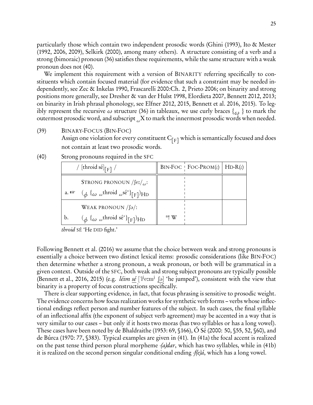particularly those which contain two independent prosodic words [\(Ghini \(1993](#page-39-15)), [Ito & Mester](#page-40-11) [\(1992](#page-40-11), [2006,](#page-40-12) [2009](#page-40-13)), [Selkirk \(2000](#page-44-14)), among many others). A structure consisting of a verb and a strong (bimoraic) pronoun [\(36\)](#page-22-2) satisfies these requirements, while the same structure with a weak pronoun does not (40).

We implement this requirement with a version of BINARITY referring specifically to constituents which contain focused material (for evidence that such a constraint may be needed independently, see [Zec & Inkelas 1990,](#page-45-1) [Frascarelli 2000:](#page-39-16)Ch. 2, [Prieto 2006;](#page-43-17) on binarity and strong positions more generally, see [Dresher & van der Hulst 1998](#page-39-17), [Elordieta 2007](#page-39-18), [Bennett 2012](#page-37-16), [2013;](#page-37-17) on binarity in Irish phrasal phonology, see [Elfner 2012,](#page-39-0) [2015,](#page-39-1) [Bennett et al. 2016,](#page-37-0) [2015\)](#page-37-9). To legibly represent the recursive  $\omega$  structure [\(36\)](#page-22-2) in tableaux, we use curly braces { $\omega$ } to mark the outermost prosodic word, and subscript *<sup>ω</sup>*X to mark the innermost prosodic words when needed.

(39) BINARY-FOCUS (BIN-FOC)

Assign one violation for every constituent  $C_{[F]}$  which is semantically focused and does not contain at least two prosodic words.

|                 | / [throid sé] $_{\lceil F \rceil}$ /                                                                                 |        | $BIN\text{-}FOC$   $FOC\text{-}PROM(t)$ | $HD-R(\iota)$ |
|-----------------|----------------------------------------------------------------------------------------------------------------------|--------|-----------------------------------------|---------------|
|                 | STRONG PRONOUN $\sqrt{\text{fe2}}/a$ :                                                                               |        |                                         |               |
| a. $\mathbb{R}$ | $(\phi \{ \omega \omega^{throid} \omega^{s\acute{e}^*} \}_{[F]})$ HD                                                 |        |                                         |               |
|                 | WEAK PRONOUN $\int$ [ə $\prime$ :                                                                                    |        |                                         |               |
| b.              | $\left(\phi \left\{\omega \omega \right\}\right]_{\text{F}}$ (here $\left(\phi \left\{\omega \omega \right\}\right)$ | $*!$ W |                                         |               |

(40) Strong pronouns required in the SFC

throid SÉ 'He DID fight.'

Following [Bennett et al. \(2016](#page-37-0)) we assume that the choice between weak and strong pronouns is essentially a choice between two distinct lexical items: prosodic considerations (like BIN-FOC) then determine whether a strong pronoun, a weak pronoun, or both will be grammatical in a given context. Outside of the SFC, both weak and strong subject pronouns are typically possible [\(Bennett et al.](#page-37-0), [2016](#page-37-0), [2015\)](#page-37-9) (e.g. *léim sé* ['<sup>lj</sup>eːm<sup>j</sup> ʃə] 'he jumped'), consistent with the view that binarity is a property of focus constructions specifically.

There is clear supporting evidence, in fact, that focus phrasing is sensitive to prosodic weight. The evidence concerns how focus realization works for synthetic verb forms – verbs whose inflectional endings reflect person and number features of the subject. In such cases, the final syllable of an inflectional affix (the exponent of subject verb agreement) may be accented in a way that is very similar to our cases – but only if it hosts two moras (has two syllables or has a long vowel). These cases have been noted by [de Bhaldraithe \(1953:](#page-37-10) 69, §166), [Ó Sé \(2000](#page-43-4): 50, §55, 52, §60), and [de Búrca \(1970:](#page-38-7) 77, §383). Typical examples are given in (41). In (41a) the focal accent is realized on the past tense third person plural morpheme  $-a$ *dar*, which has two syllables, while in (41b) it is realized on the second person singular conditional ending  $-f(e)\hat{a}$ , which has a long vowel.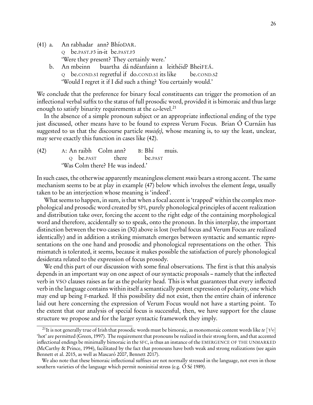- $(41)$  a. Q be.PAST.P3 in-it be.PAST.P3 rabhadar ann? BhíoDAR. 'Were they present? They certainly were.'
	- b. An mbeinn Q be.COND.S1 regretful if do.COND.S1 its like buartha dá ndéanfainn a leithéid? BheiFEÁ. be.COND.S2 'Would I regret it if I did such a thing? You certainly would.'

We conclude that the preference for binary focal constituents can trigger the promotion of an inflectional verbal suffix to the status of full prosodic word, provided it is bimoraic and thus large enough to satisfy binarity requirements at the  $\omega$ -level.<sup>[21](#page-25-0)</sup>

In the absence of a simple pronoun subject or an appropriate inflectional ending of the type just discussed, other means have to be found to express Verum Focus. Brian Ó Curnáin has suggested to us that the discourse particle  $muis(e)$ , whose meaning is, to say the least, unclear, may serve exactly this function in cases like (42).

(42) A: An raibh Colm ann? B: Q be.PAST there  $B: Bh'$ be.PAST muis. 'Was Colm there? He was indeed.'

In such cases, the otherwise apparently meaningless element *muis* bears a strong accent. The same mechanism seems to be at play in example [\(47\)](#page-28-0) below which involves the element *leoga*, usually taken to be an interjection whose meaning is 'indeed'.

What seems to happen, in sum, is that when a focal accent is 'trapped' within the complex morphological and prosodic word created by SPI, purely phonological principles of accent realization and distribution take over, forcing the accent to the right edge of the containing morphological word and therefore, accidentally so to speak, onto the pronoun. In this interplay, the important distinction between the two cases in [\(30\)](#page-18-0) above is lost (verbal focus and Verum Focus are realized identically) and in addition a striking mismatch emerges between syntactic and semantic representations on the one hand and prosodic and phonological representations on the other. This mismatch is tolerated, it seems, because it makes possible the satisfaction of purely phonological desiderata related to the expression of focus prosody.

We end this part of our discussion with some final observations. The first is that this analysis depends in an important way on one aspect of our syntactic proposals – namely that the inflected verb in VSO clauses raises as far as the polarity head. This is what guarantees that every inflected verb in the language contains within itself a semantically potent expression of polarity, one which may end up being F-marked. If this possibility did not exist, then the entire chain of inference laid out here concerning the expression of Verum Focus would not have a starting point. To the extent that our analysis of special focus is successful, then, we have support for the clause structure we propose and for the larger syntactic framework they imply.

<span id="page-25-0"></span> $^{21}$ It is not generally true of Irish that prosodic words must be bimoraic, as monomoraic content words like  $te$  ['t<sup>j</sup>e] 'hot' are permitted [\(Green](#page-39-19), [1997\)](#page-39-19). The requirement that pronouns be realized in their strong form, and that accented inflectional endings be minimally bimoraic in the SFC, is thus an instance of the EMERGENCE OF THE UNMARKED [\(McCarthy & Prince](#page-41-18), [1994\)](#page-41-18), facilitated by the fact that pronouns have both weak and strong realizations (see again [Bennett et al. 2015,](#page-37-9) as well as [Mascaró 2007,](#page-41-19) [Bennett 2017\)](#page-37-18).

We also note that these bimoraic inflectional suffixes are not normally stressed in the language, not even in those southern varieties of the language which permit noninitial stress (e.g. [Ó Sé 1989\)](#page-43-18).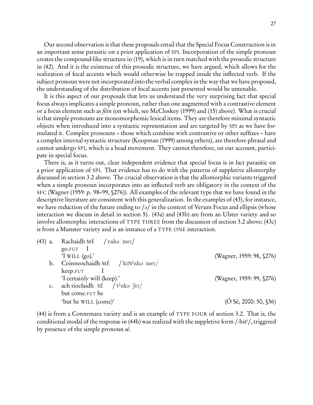Our second observation is that these proposals entail that the Special Focus Construction is in an important sense parasitic on a prior application of SPI. Incorporation of the simple pronoun creates the compound-like structure in [\(19\),](#page-10-2) which is in turn matched with the prosodic structure in (42). And it is the existence of this prosodic structure, we have argued, which allows for the realization of focal accents which would otherwise be trapped inside the inflected verb. If the subject pronoun were not incorporated into the verbal complex in the way that we have proposed, the understanding of the distribution of focal accents just presented would be untenable.

It is this aspect of our proposals that lets us understand the very surprising fact that special focus always implicates a simple pronoun, rather than one augmented with a contrastive element or a focus element such as féin (on which, see [McCloskey \(1999\)](#page-42-20) and [\(15\)](#page-6-1) above). What is crucial is that simple pronouns are monomorphemic lexical items. They are therefore minimal syntactic objects when introduced into a syntactic representation and are targeted by SPI as we have formulated it. Complex pronouns – those which combine with contrastive or other suffixes – have a complex internal syntactic structure [\(Koopman \(1999](#page-41-3)) among others), are therefore phrasal and cannot undergo SPI, which is a head movement. They cannot therefore, on our account, participate in special focus.

There is, as it turns out, clear independent evidence that special focus is in fact parasitic on a prior application of SPI. That evidence has to do with the patterns of suppletive allomorphy discussed in section [3.2](#page-7-0) above. The crucial observation is that the allomorphic variants triggered when a simple pronoun incorporates into an inflected verb are obligatory in the context of the SFC [\(Wagner \(1959:](#page-44-1) p. 98–99, §276)). All examples of the relevant type that we have found in the descriptive literature are consistent with this generalization. In the examples of (43), for instance, we have reduction of the future ending to  $\frac{1}{9}$  in the context of Verum Focus and ellipsis (whose interaction we discuss in detail in section [5\)](#page-27-0). (43a) and (43b) are from an Ulster variety and so involve allomorphic interactions of TYPE THREE from the discussion of section [3.2](#page-7-0) above; (43c) is from a Munster variety and is an instance of a TYPE ONE interaction.

| $(43)$ a.   | Rachaidh MÉ / raha 'meː/                              |                                  |
|-------------|-------------------------------------------------------|----------------------------------|
|             | $g_{0.FUT}$ $I$                                       |                                  |
|             | 'I WILL $(go)$ .'                                     | (Wagner, 1959: 98, §276)         |
| b.          | Coinneochaidh MÉ / $\kappa$ in <sup>j</sup> ahə 'mez/ |                                  |
|             | keep.FUT                                              |                                  |
|             | 'I certainly will (keep).'                            | (Wagner, 1959: 99, §276)         |
| $c_{\cdot}$ | ach tiocfaidh SÉ /'t <sup>j</sup> uka 'feː/           |                                  |
|             | but come.FUT he                                       |                                  |
|             | 'but he WILL (come)'                                  | $( \acute{O}$ Sé, 2000: 50, §56) |

(44) is from a Connemara variety and is an example of TYPE FOUR of section [3.2.](#page-7-0) That is, the conditional modal of the response in (44b) was realized with the suppletive form /-hit<sup>j</sup>/, triggered by presence of the simple pronoun sé.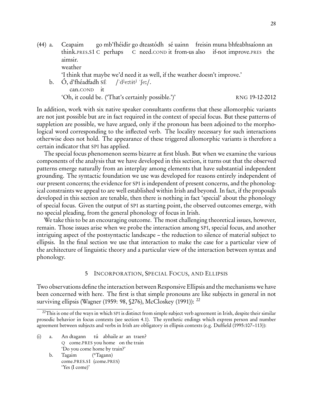- (44) a. Ceapaim think.PRES.S1 C perhaps go mb'fhéidir go dteastódh sé uainn freisin muna bhfeabhsaíonn an C need.COND it from-us also if-not improve.PRES the aimsir. weather 'I think that maybe we'd need it as well, if the weather doesn't improve.' b. Ó, d'fhéadfadh SÉ  $/\mathrm{d}^{\mathrm{j}}$ e:tit<sup>j</sup> ' $\mathrm{fc}$ '.
	- can.COND it 'Oh, it could be. ('That's certainly possible.')' RNG 19-12-2012

In addition, work with six native speaker consultants confirms that these allomorphic variants are not just possible but are in fact required in the context of special focus. But these patterns of suppletion are possible, we have argued, only if the pronoun has been adjoined to the morphological word corresponding to the inflected verb. The locality necessary for such interactions otherwise does not hold. The appearance of these triggered allomorphic variants is therefore a certain indicator that SPI has applied.

The special focus phenomenon seems bizarre at first blush. But when we examine the various components of the analysis that we have developed in this section, it turns out that the observed patterns emerge naturally from an interplay among elements that have substantial independent grounding. The syntactic foundation we use was developed for reasons entirely independent of our present concerns; the evidence for SPI is independent of present concerns, and the phonological constraints we appeal to are well established within Irish and beyond. In fact, if the proposals developed in this section are tenable, then there is nothing in fact 'special' about the phonology of special focus. Given the output of SPI as starting point, the observed outcomes emerge, with no special pleading, from the general phonology of focus in Irish.

We take this to be an encouraging outcome. The most challenging theoretical issues, however, remain. Those issues arise when we probe the interaction among SPI, special focus, and another intriguing aspect of the postsyntactic landscape – the reduction to silence of material subject to ellipsis. In the final section we use that interaction to make the case for a particular view of the architecture of linguistic theory and a particular view of the interaction between syntax and phonology.

#### <span id="page-27-2"></span>5 INCORPORATION, SPECIAL FOCUS, AND ELLIPSIS

<span id="page-27-0"></span>Two observations define the interaction between Responsive Ellipsis and the mechanisms we have been concerned with here. The first is that simple pronouns are like subjects in general in not surviving ellipsis [\(Wagner \(1959](#page-44-1): 98, §276), [McCloskey \(1991\)](#page-41-0)): [22](#page-27-1)

- (i) a. An dtagann Q come.PRES you home on the train tú abhaile ar an traen? 'Do you come home by train?'
	- b. Tagaim come.PRES.S1 (come.PRES) (\*Tagann) 'Yes (I come)'

<span id="page-27-1"></span><sup>&</sup>lt;sup>22</sup>This is one of the ways in which SPI is distinct from simple subject verb agreement in Irish, despite their similar prosodic behavior in focus contexts (see section [4.1\)](#page-19-0). The synthetic endings which express person and number agreement between subjects and verbs in Irish are obligatory in ellipsis contexts (e.g. [Duffield \(1995:](#page-39-4)107–113)):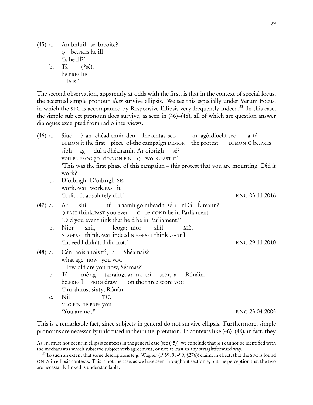$(45)$  a. Q be.PRES he ill bhfuil sé breoite? 'Is he ill?' b. Tá be.PRES he  $(*s\acute{e}).$ 

<span id="page-28-3"></span>'He is.'

The second observation, apparently at odds with the first, is that in the context of special focus, the accented simple pronoun *does* survive ellipsis. We see this especially under Verum Focus, in which the SFC is accompanied by Responsive Ellipsis very frequently indeed.<sup>[23](#page-28-1)</sup> In this case, the simple subject pronoun does survive, as seen in (46)[–\(48\),](#page-28-2) all of which are question answer dialogues excerpted from radio interviews.

<span id="page-28-0"></span> $(46)$  a. DEMON it the first piece of-the campaign DEMON the protest é an chéad chuid den fheachtas seo – an agóidíocht seo DEMON C be.PRES a tá sibh you.PL PROG go do.NON-FIN Q work.PAST it? ag dul a dhéanamh. Ar oibrigh sé? 'This was the first phase of this campaign – this protest that you are mounting. Did it work?' b. D'oibrigh. D'oibrigh SÉ. work.PAST work.PAST it It did. It absolutely did.' The RNG 03-11-2016 (47) a. Ar <sup>Q</sup>.PAST think.PAST you ever C be.COND he in Parliament shíl tú ariamh go mbeadh sé i nDáil Éireann? 'Did you ever think that he'd be in Parliament?' b. Níor NEG-PAST think.PAST indeed NEG-PAST think .PAST I shíl, leoga; níor shíl MÉ. 'Indeed I didn't. I did not.' RNG 29-11-2010  $(48)$  a. what age now you VOC aois anois tú, a Shéamais? 'How old are you now, Séamas?' b. Tá be.PRES I PROG draw mé ag tarraingt ar na trí on the three score VOC scór, a Rónáin. 'I'm almost sixty, Rónán. c. Níl NEG-FIN-be.PRES you TÚ. 'You are not!' RNG 23-04-2005

<span id="page-28-2"></span>This is a remarkable fact, since subjects in general do not survive ellipsis. Furthermore, simple pronouns are necessarily unfocused in their interpretation. In contexts like [\(46\)](#page-28-3)[–\(48\),](#page-28-2) in fact, they

As SPI must not occur in ellipsis contexts in the general case (see [\(45\)\)](#page-27-2), we conclude that SPI cannot be identified with the mechanisms which subserve subject verb agreement, or not at least in any straightforward way.

<span id="page-28-1"></span><sup>&</sup>lt;sup>23</sup>To such an extent that some descriptions (e.g. [Wagner \(1959:](#page-44-1) 98–99,  $\S$ 276)) claim, in effect, that the SFC is found ONLY in ellipsis contexts. This is not the case, as we have seen throughout section [4,](#page-16-0) but the perception that the two are necessarily linked is understandable.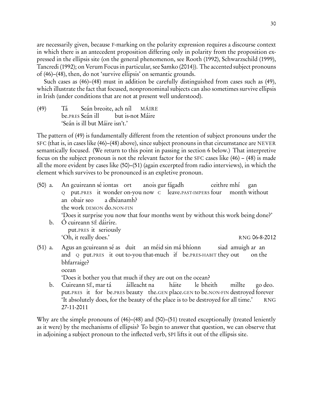are necessarily given, because F-marking on the polarity expression requires a discourse context in which there is an antecedent proposition differing only in polarity from the proposition expressed in the ellipsis site (on the general phenomenon, see [Rooth \(1992\)](#page-43-12), [Schwarzschild \(1999](#page-44-9)), [Tancredi \(1992](#page-44-15)); on Verum Focus in particular, see [Samko \(2014\)](#page-44-8)). The accented subject pronouns of [\(46\)–](#page-28-3)[\(48\),](#page-28-2) then, do not 'survive ellipsis' on semantic grounds.

Such cases as [\(46\)–](#page-28-3)[\(48\)](#page-28-2) must in addition be carefully distinguished from cases such as (49), which illustrate the fact that focused, nonpronominal subjects can also sometimes survive ellipsis in Irish (under conditions that are not at present well understood).

(49) Tá be.PRES Seán ill Seán breoite, ach níl but is-not Máire MÁIRE 'Seán is ill but Máire isn't.'

The pattern of (49) is fundamentally different from the retention of subject pronouns under the SFC (that is, in cases like [\(46\)–](#page-28-3)[\(48\)](#page-28-2) above), since subject pronouns in that circumstance are NEVER semantically focused. (We return to this point in passing in section [6](#page-35-0) below.) That interpretive focus on the subject pronoun is not the relevant factor for the SFC cases like [\(46\)](#page-28-3) – [\(48\)](#page-28-2) is made all the more evident by cases like (50)–(51) (again excerpted from radio interviews), in which the element which survives to be pronounced is an expletive pronoun.

- $(50)$  a. Q put.PRES it wonder on-you now C leave.PAST-IMPERS four gcuireann sé iontas ort anois gur fágadh ceithre mhí month without gan an obair seo the work DEMON do.NON-FIN a dhéanamh? 'Does it surprise you now that four months went by without this work being done?' b. Ó cuireann SÉ dáiríre. put.PRES it seriously 'Oh, it really does.' RNG 06-8-2012
- $(51)$  a. and Q put.PRES it out to-you that-much if be.PRES-HABIT they out an gcuireann sé as duit an méid sin má bhíonn siad amuigh ar an on the bhfarraige? ocean 'Does it bother you that much if they are out on the ocean?
	- b. Cuireann SÉ, mar tá put.PRES it for be.PRES beauty the.GEN place.GEN to be.NON-FIN destroyed forever áilleacht na háite le bheith millte go deo. 'It absolutely does, for the beauty of the place is to be destroyed for all time.' RNG 27-11-2011

Why are the simple pronouns of [\(46\)–](#page-28-3)[\(48\)](#page-28-2) and (50)–(51) treated exceptionally (treated leniently as it were) by the mechanisms of ellipsis? To begin to answer that question, we can observe that in adjoining a subject pronoun to the inflected verb, SPI lifts it out of the ellipsis site.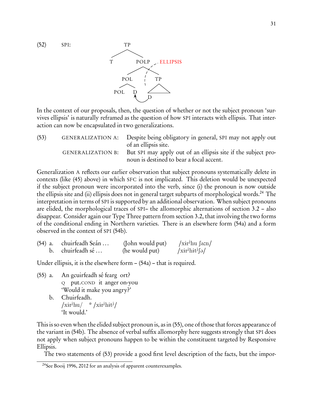

<span id="page-30-1"></span>In the context of our proposals, then, the question of whether or not the subject pronoun 'survives ellipsis' is naturally reframed as the question of how SPI interacts with ellipsis. That interaction can now be encapsulated in two generalizations.

(53) GENERALIZATION A: Despite being obligatory in general, SPI may not apply out of an ellipsis site. GENERALIZATION B: But SPI may apply out of an ellipsis site if the subject pronoun is destined to bear a focal accent.

Generalization A reflects our earlier observation that subject pronouns systematically delete in contexts (like [\(45\)](#page-27-2) above) in which SFC is not implicated. This deletion would be unexpected if the subject pronoun were incorporated into the verb, since (i) the pronoun is now outside the ellipsis site and (ii) ellipsis does not in general target subparts of morphological words.<sup>[24](#page-30-0)</sup> The interpretation in terms of SPI is supported by an additional observation. When subject pronouns are elided, the morphological traces of SPI– the allomorphic alternations of section [3.2](#page-7-0) – also disappear. Consider again our Type Three pattern from section [3.2,](#page-7-0) that involving the two forms of the conditional ending in Northern varieties. There is an elsewhere form (54a) and a form observed in the context of SPI (54b).

| (54) a. chuirfeadh Seán | (John would put) | $\frac{\sin\theta}{\sin\theta}$                        |
|-------------------------|------------------|--------------------------------------------------------|
| b. chuirfeadh sé        | (he would put)   | $\sqrt{x}$ ir <sup>j</sup> hit <sup>j</sup> $\sqrt{a}$ |

Under ellipsis, it is the elsewhere form – (54a) – that is required.

- $(55)$  a. Q put.COND it anger on-you gcuirfeadh sé fearg ort? 'Would it make you angry?' b. Chuirfeadh.
	- $\sqrt{\text{air}^j \text{hu}} /$  \*  $\sqrt{\text{air}^j \text{hit}^j} /$ 'It would.'

This is so even when the elided subject pronoun is, as in (55), one of those that forces appearance of the variant in (54b). The absence of verbal suffix allomorphy here suggests strongly that SPI does not apply when subject pronouns happen to be within the constituent targeted by Responsive Ellipsis.

The two statements of [\(53\)](#page-30-1) provide a good first level description of the facts, but the impor-

<span id="page-30-0"></span><sup>24</sup>See [Booij 1996,](#page-38-14) [2012](#page-38-15) for an analysis of apparent counterexamples.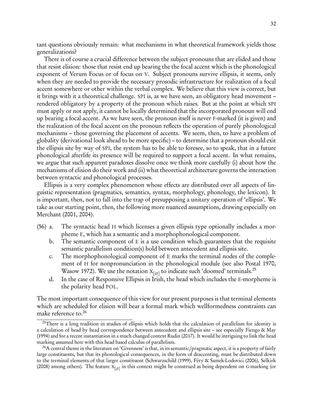tant questions obviously remain: what mechanisms in what theoretical framework yields those generalizations?

There is of course a crucial difference between the subject pronouns that are elided and those that resist elision: those that resist end up bearing the the focal accent which is the phonological exponent of Verum Focus or of focus on V. Subject pronouns survive ellipsis, it seems, only when they are needed to provide the necessary prosodic infrastructure for realization of a focal accent somewhere or other within the verbal complex. We believe that this view is correct, but it brings with it a theoretical challenge. SPI is, as we have seen, an obligatory head movement – rendered obligatory by a property of the pronoun which raises. But at the point at which SPI must apply or not apply, it cannot be locally determined that the incorporated pronoun will end up bearing a focal accent. As we have seen, the pronoun itself is never F-marked (it is given) and the realization of the focal accent on the pronoun reflects the operation of purely phonological mechanisms – those governing the placement of accents. We seem, then, to have a problem of globality (derivational look ahead to be more specific) – to determine that a pronoun should exit the ellipsis site by way of SPI, the system has to be able to foresee, so to speak, that in a future phonological afterlife its presence will be required to support a focal accent. In what remains, we argue that such apparent paradoxes dissolve once we think more carefully (i) about how the mechanisms of elision do their work and (ii) what theoretical architecture governs the interaction between syntactic and phonological processes.

Ellipsis is a very complex phenomenon whose effects are distributed over all aspects of linguistic representation (pragmatics, semantics, syntax, morphology, phonology, the lexicon). It is important, then, not to fall into the trap of presupposing a unitary operation of 'ellipsis'. We take as our starting point, then, the following more nuanced assumptions, drawing especially on [Merchant \(2001,](#page-42-21) [2004\)](#page-42-22).

- (56) a. The syntactic head H which licenses a given ellipsis type optionally includes a morpheme E, which has a semantic and a morphophonological component.
	- b. The semantic component of E is a use condition which guarantees that the requisite semantic parallelism condition(s) hold between antecedent and ellipsis site.
	- c. The morphophonological component of E marks the terminal nodes of the complement of H for nonpronunciation in the phonological module (see also [Postal 1970,](#page-43-19) [Wasow 1972](#page-45-2)). We use the notation  $X_{[\varnothing]}$  to indicate such 'doomed' terminals.<sup>[25](#page-31-0)</sup>
	- d. In the case of Responsive Ellipsis in Irish, the head which includes the E-morpheme is the polarity head POL.

The most important consequence of this view for our present purposes is that terminal elements which are scheduled for elision will bear a formal mark which wellformedness constraints can make reference to.[26](#page-31-1)

<span id="page-31-0"></span> $25$ There is a long tradition in studies of ellipsis which holds that the calculation of parallelism for identity is a calculation of head by head correspondence between antecedent and ellipsis site – see especially [Fiengo & May](#page-39-20) [\(1994](#page-39-20)) and for a recent instantiation in a much changed context [Rudin \(2017](#page-43-20)). It would be intriguing to link the head marking assumed here with this head based calculus of parallelism.

<span id="page-31-1"></span> $^{26}$ A central theme in the literature on 'Givenness' is that, in its semantic/pragmatic aspect, it is a property of fairly large constituents, but that its phonological consequences, in the form of deaccenting, must be distributed down to the terminal elements of that larger constituent [\(Schwarzschild \(1999](#page-44-9)), [Féry & Samek-Lodovici \(2006\)](#page-39-12), [Selkirk](#page-44-16) [\(2008](#page-44-16)) among others). The feature  $X_{[\varnothing]}$  in this context might be construed as being dependent on G-marking (or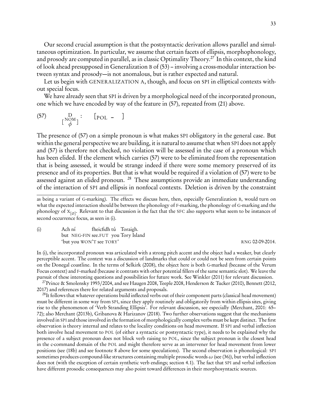Our second crucial assumption is that the postsyntactic derivation allows parallel and simultaneous optimization. In particular, we assume that certain facets of ellipsis, morphophonology, and prosody are computed in parallel, as in classic Optimality Theory.<sup>[27](#page-32-0)</sup> In this context, the kind of look ahead presupposed in Generalization B of [\(53\)](#page-30-1) – involving a cross-modular interaction between syntax and prosody—is not anomalous, but is rather expected and natural.

Let us begin with GENERALIZATION A, though, and focus on SPI in elliptical contexts without special focus.

We have already seen that SPI is driven by a morphological need of the incorporated pronoun, one which we have encoded by way of the feature in (57), repeated from [\(21\)](#page-13-1) above.

$$
\begin{array}{cc}\n(57) & D & [POL - ] \\
\left[\begin{array}{cc} NOM \\ \phi \end{array}\right]\n\end{array}
$$

The presence of (57) on a simple pronoun is what makes SPI obligatory in the general case. But within the general perspective we are building, it is natural to assume that when SPI does not apply and (57) is therefore not checked, no violation will be assessed in the case of a pronoun which has been elided. If the element which carries (57) were to be eliminated from the representation that is being assessed, it would be strange indeed if there were some memory preserved of its presence and of its properties. But that is what would be required if a violation of (57) were to be assessed against an elided pronoun. <sup>[28](#page-32-1)</sup> These assumptions provide an immediate understanding of the interaction of SPI and ellipsis in nonfocal contexts. Deletion is driven by the constraint

(i) Ach ní but NEG-FIN see.FUT you Tory Island fheicfidh tú Toraigh. 'but you WON'T see TORY' RNG 02-09-2014.

<span id="page-32-2"></span>

In (i), the incorporated pronoun was articulated with a strong pitch accent and the object had a weaker, but clearly perceptible accent. The context was a discussion of landmarks that could or could not be seen from certain points on the Donegal coastline. In the terms of [Selkirk \(2008\)](#page-44-16), the object here is both G-marked (because of the Verum Focus context) and F-marked (because it contrasts with other potential fillers of the same semantic slot). We leave the pursuit of these interesting questions and possibilities for future work. See [Winkler \(2011\)](#page-45-3) for relevant discussion.

<span id="page-32-0"></span><sup>27</sup>[Prince & Smolensky 1993](#page-43-0)/2004, and see [Haugen 2008,](#page-40-14) [Teeple 2008,](#page-44-17) [Henderson & Tucker \(2010](#page-40-15)), [Bennett \(2012](#page-37-16), [2017](#page-37-18)) and references there for related arguments and proposals.

<span id="page-32-1"></span> $^{28}$ It follows that whatever operations build inflected verbs out of their component parts (classical head movement) must be different in some way from SPI, since they apply routinely and obligatorily from within ellipsis sites, giving rise to the phenomenon of 'Verb Stranding Ellipsis'. For relevant discussion, see especially [\(Merchant](#page-42-21), [2001:](#page-42-21) 65– 72); also [Merchant \(2013b\)](#page-42-6), [Gribanova & Harizanov \(2018\)](#page-39-8). Two further observations suggest that the mechanisms involved in SPI and those involved in the formation of morphologically complex verbs must be kept distinct. The first observation is theory internal and relates to the locality conditions on head movement. If SPI and verbal inflection both involve head movement to POL (of either a syntactic or postsyntactic type), it needs to be explained why the presence of a subject pronoun does not block verb raising to POL, since the subject pronoun is the closest head in the c-command domain of the POL and might therefore serve as an intervener for head movement from lower positions (see [\(18b\)](#page-10-1) and see footnote [8](#page-13-0) above for some speculations). The second observation is phonological: SPI sometimes produces compound-like structures containing multiple prosodic words *ω* (see [\(36\)\)](#page-22-2), but verbal inflection does not (with the exception of certain synthetic verb endings; section [4.1\)](#page-19-0). The fact that SPI and verbal inflection have different prosodic consequences may also point toward differences in their morphosyntactic sources.

as being a variant of G-marking). The effects we discuss here, then, especially Generalization B, would turn on what the expected interaction should be between the phonology of F-marking, the phonology of G-marking and the phonology of  $\mathrm{x}_{[\varnothing]}$ . Relevant to that discussion is the fact that the SFC also supports what seem to be instances of second occurrence focus, as seen in (i).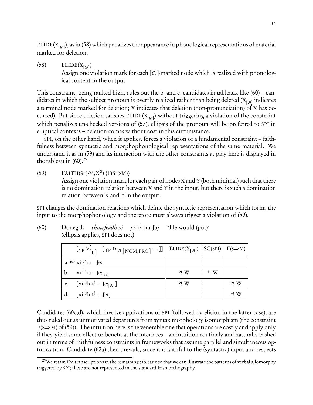ELIDE(X<sub>[∅]</sub>), as in (58) which penalizes the appearance in phonological representations of material marked for deletion.

(58) ELIDE( $X_{[\emptyset]}$ ) Assign one violation mark for each  $\lceil \emptyset \rceil$ -marked node which is realized with phonological content in the output.

This constraint, being ranked high, rules out the b- and c- candidates in tableaux like (60) – candidates in which the subject pronoun is overtly realized rather than being deleted ( $\boldsymbol{\mathrm{X}}_{[\varnothing]}$  indicates a terminal node marked for deletion;  $x$  indicates that deletion (non-pronunciation) of X has occurred). But since deletion satisfies ELIDE(X<sub>[∅]</sub>) without triggering a violation of the constraint which penalizes un-checked versions of (57), ellipsis of the pronoun will be preferred to SPI in elliptical contexts – deletion comes without cost in this circumstance.

SPI, on the other hand, when it applies, forces a violation of a fundamental constraint – faithfulness between syntactic and morphophonological representations of the same material. We understand it as in (59) and its interaction with the other constraints at play here is displayed in the tableau in  $(60).^{29}$  $(60).^{29}$  $(60).^{29}$ 

(59)  $FAITH(S \Rightarrow M, X^0) (F(S \Rightarrow M))$ Assign one violation mark for each pair of nodes X and Y (both minimal) such that there is no domination relation between X and Y in the input, but there is such a domination relation between X and Y in the output.

SPI changes the domination relations which define the syntactic representation which forms the input to the morphophonology and therefore must always trigger a violation of (59).

| $\lfloor \text{EPP} \, V_{\lfloor E \rfloor}^{\vee} \, \lfloor \text{TP} \, D_{\lceil \emptyset \rceil} \lfloor \text{NOM,PRO} \rfloor \cdots \rfloor \rfloor \, \parallel \, \text{ELIDE}(X_{\lceil \emptyset \rceil}) \, \parallel \, \text{SC(SPI)} \, \parallel \, F(s \Rightarrow M)$ |        |      |      |
|--------------------------------------------------------------------------------------------------------------------------------------------------------------------------------------------------------------------------------------------------------------------------------------------|--------|------|------|
| a. $\mathbb{R}$ xir <sup>j</sup> hu fer                                                                                                                                                                                                                                                    |        |      |      |
| b. $\operatorname{xir}^{\text{J}}$ hu $\operatorname{fer}_{\lceil \emptyset \rceil}$                                                                                                                                                                                                       | $*!$ W | *! W |      |
| c. $\left[\text{xir}^{\text{j}}\text{hit}^{\text{j}} + \text{fe}_{\lceil \varnothing \rceil}\right]$                                                                                                                                                                                       | *! W   |      | *! W |
| $\left[\text{xir}^{\text{j}}\text{hit}^{\text{j}} + \text{fe:}\right]$                                                                                                                                                                                                                     |        |      | *! W |

(60) Donegal: *chuirfeadh sé* /xir<sup>j</sup>-hu fo/ 'He would (put)' (ellipsis applies, SPI does not)

Candidates (60c,d), which involve applications of SPI (followed by elision in the latter case), are thus ruled out as unmotivated departures from syntax morphology isomorphism (the constraint  $F(S\Rightarrow M)$  of (59)). The intuition here is the venerable one that operations are costly and apply only if they yield some effect or benefit at the interfaces – an intuition routinely and naturally cashed out in terms of Faithfulness constraints in frameworks that assume parallel and simultaneous optimization. Candidate (62a) then prevails, since it is faithful to the (syntactic) input and respects

<span id="page-33-0"></span><sup>&</sup>lt;sup>29</sup>We retain IPA transcriptions in the remaining tableaux so that we can illustrate the patterns of verbal allomorphy triggered by SPI; these are not represented in the standard Irish orthography.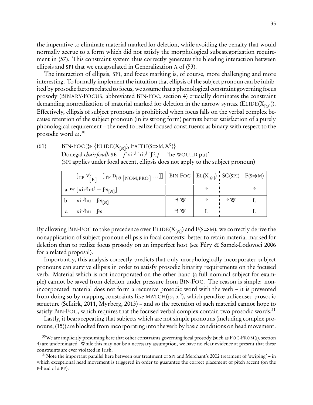the imperative to eliminate material marked for deletion, while avoiding the penalty that would normally accrue to a form which did not satisfy the morphological subcategorization requirement in [\(57\).](#page-32-2) This constraint system thus correctly generates the bleeding interaction between ellipsis and SPI that we encapsulated in Generalization A of [\(53\).](#page-30-1)

The interaction of ellipsis, SPI, and focus marking is, of course, more challenging and more interesting. To formally implement the intuition that ellipsis of the subject pronoun can be inhibited by prosodic factors related to focus, we assume that a phonological constraint governing focus prosody (BINARY-FOCUS, abbreviated BIN-FOC, section [4\)](#page-16-0) crucially dominates the constraint demanding nonrealization of material marked for deletion in the narrow syntax ( $\mathrm{ELIDE}(\mathrm{X}_{[\varnothing]})).$ Effectively, ellipsis of subject pronouns is prohibited when focus falls on the verbal complex because retention of the subject pronoun (in its strong form) permits better satisfaction of a purely phonological requirement – the need to realize focused constituents as binary with respect to the prosodic word *ω*. [30](#page-34-0)

(61) BIN-FOC  $\gg$  {ELIDE(X<sub>[∅</sub>]), FAITH(S $\Rightarrow$ M,X<sup>o</sup>)} Donegal *chuirfeadh* SÉ /'xir<sup>j</sup>-hit<sup>j</sup> 'fé:/ 'he WOULD put'

| (SPI applies under focal accent, ellipsis does not apply to the subject pronoun) |  |  |  |  |
|----------------------------------------------------------------------------------|--|--|--|--|
|----------------------------------------------------------------------------------|--|--|--|--|

| $\left[\sum_{P} V_{E}^{\circ} \right]$ $\left[\text{TP } D_{[\emptyset]}[\text{NOM,PRO]} \cdots \right]$ BIN-FOC $\left  \text{EL}(X_{[\emptyset]}) \right $ SC(SPI) $\left  \text{F}(S \Rightarrow M) \right $ |        |     |           |  |
|-----------------------------------------------------------------------------------------------------------------------------------------------------------------------------------------------------------------|--------|-----|-----------|--|
| a. $\mathbb{R} \left[ \mathrm{xir}^{\mathrm{j}} \mathrm{hit}^{\mathrm{j}} + \mathrm{fcz}_{[\varnothing]} \right]$                                                                                               |        |     |           |  |
| b. $\operatorname{xir}^j$ hu $\operatorname{fer}_{\lceil \varnothing \rceil}$                                                                                                                                   | *! W   | 茶 一 | $\cdot$ W |  |
| c. $xir^jhu$ fer                                                                                                                                                                                                | $*!$ W |     |           |  |

By allowing BIN-FOC to take precedence over ELIDE(X<sub>[∅]</sub>) and F(S⇒M), we correctly derive the nonapplication of subject pronoun ellipsis in focal contexts: better to retain material marked for deletion than to realize focus prosody on an imperfect host (see Féry & Samek-Lodovoci 2006 for a related proposal).

Importantly, this analysis correctly predicts that only morphologically incorporated subject pronouns can survive ellipsis in order to satisfy prosodic binarity requirements on the focused verb. Material which is not incorporated on the other hand (a full nominal subject for example) cannot be saved from deletion under pressure from BIN-FOC. The reason is simple: nonincorporated material does not form a recursive prosodic word with the verb – it is prevented from doing so by mapping constraints like MATCH( $\omega$ ,  $x^0$ ), which penalize unlicensed prosodic structure [\(Selkirk](#page-44-6), [2011](#page-44-6), [Myrberg](#page-42-18), [2013](#page-42-18)) – and so the retention of such material cannot hope to satisfy BIN-FOC, which requires that the focused verbal complex contain two prosodic words.<sup>[31](#page-34-1)</sup>

Lastly, it bears repeating that subjects which are not simple pronouns (including complex pronouns, [\(15\)\)](#page-6-1) are blocked from incorporating into the verb by basic conditions on head movement.

<span id="page-34-0"></span><sup>30</sup>We are implicitly presuming here that other constraints governing focal prosody (such as FOC-PROM(*ι*), section [4\)](#page-16-0) are undominated. While this may not be a necessary assumption, we have no clear evidence at present that these constraints are ever violated in Irish.

<span id="page-34-1"></span> $31$ Note the important parallel here between our treatment of SPI and Merchant's [2002](#page-42-23) treatment of 'swiping' – in which exceptional head movement is triggered in order to guarantee the correct placement of pitch accent (on the P-head of a PP).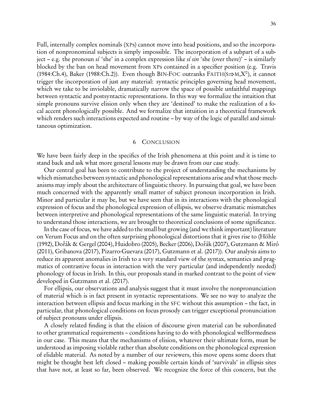Full, internally complex nominals (XPs) cannot move into head positions, and so the incorporation of nonpronominal subjects is simply impossible. The incorporation of a subpart of a subject – e.g. the pronoun sí 'she' in a complex expression like sí sin 'she (over there)' – is similarly blocked by the ban on head movement from XPs contained in a specifier position (e.g. [Travis](#page-44-4) [\(1984](#page-44-4):Ch.4), [Baker \(1988](#page-37-8):Ch.2)). Even though BIN-FOC outranks FAITH( $s \Rightarrow M, X^0$ ), it cannot trigger the incorporation of just any material: syntactic principles governing head movement, which we take to be inviolable, dramatically narrow the space of possible unfaithful mappings between syntactic and postsyntactic representations. In this way we formalize the intuition that simple pronouns survive elision only when they are 'destined' to make the realization of a focal accent phonologically possible. And we formalize that intuition in a theoretical framework which renders such interactions expected and routine – by way of the logic of parallel and simultaneous optimization.

#### 6 CONCLUSION

<span id="page-35-0"></span>We have been fairly deep in the specifics of the Irish phenomena at this point and it is time to stand back and ask what more general lessons may be drawn from our case study.

Our central goal has been to contribute to the project of understanding the mechanisms by which mismatches between syntactic and phonological representations arise and what those mechanisms may imply about the architecture of linguistic theory. In pursuing that goal, we have been much concerned with the apparently small matter of subject pronoun incorporation in Irish. Minor and particular it may be, but we have seen that in its interactions with the phonological expression of focus and the phonological expression of ellipsis, we observe dramatic mismatches between interpretive and phonological representations of the same linguistic material. In trying to understand those interactions, we are brought to theoretical conclusions of some significance.

In the case of focus, we have added to the small but growing (and we think important) literature on Verum Focus and on the often surprising phonological distortions that it gives rise to [\(Höhle](#page-40-4) [\(1992](#page-40-4)), [Doˇrák & Gergel \(2004](#page-38-16)), [Huidobro \(2005](#page-40-16)), [Becker \(2006](#page-37-19)), [Doˇrák \(2007\)](#page-38-17), [Gutzmann & Miró](#page-39-21) [\(2011](#page-39-21)), [Gribanova \(2017](#page-39-2)), [Pizarro-Guevara \(2017](#page-43-21)), [Gutzmann et al. \(2017\)](#page-39-10)). Our analysis aims to reduce its apparent anomalies in Irish to a very standard view of the syntax, semantics and pragmatics of contrastive focus in interaction with the very particular (and independently needed) phonology of focus in Irish. In this, our proposals stand in marked contrast to the point of view developed in [Gutzmann et al. \(2017](#page-39-10)).

For ellipsis, our observations and analysis suggest that it must involve the nonpronunciation of material which is in fact present in syntactic representations. We see no way to analyze the interaction between ellipsis and focus marking in the SFC without this assumption – the fact, in particular, that phonological conditions on focus prosody can trigger exceptional pronunciation of subject pronouns under ellipsis.

A closely related finding is that the elision of discourse given material can be subordinated to other grammatical requirements – conditions having to do with phonological wellformedness in our case. This means that the mechanisms of elision, whatever their ultimate form, must be understood as imposing violable rather than absolute conditions on the phonological expression of elidable material. As noted by a number of our reviewers, this move opens some doors that might be thought best left closed – making possible certain kinds of 'survivals' in ellipsis sites that have not, at least so far, been observed. We recognize the force of this concern, but the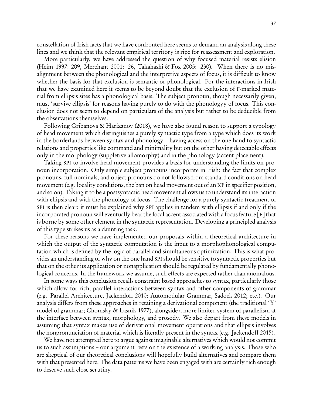constellation of Irish facts that we have confronted here seems to demand an analysis along these lines and we think that the relevant empirical territory is ripe for reassessment and exploration.

More particularly, we have addressed the question of why focused material resists elision [\(Heim 1997:](#page-40-17) 209, [Merchant 2001:](#page-42-21) 26, [Takahashi & Fox 2005:](#page-44-18) 230). When there is no misalignment between the phonological and the interpretive aspects of focus, it is difficult to know whether the basis for that exclusion is semantic or phonological. For the interactions in Irish that we have examined here it seems to be beyond doubt that the exclusion of F-marked material from ellipsis sites has a phonological basis. The subject pronoun, though necessarily given, must 'survive ellipsis' for reasons having purely to do with the phonologyy of focus. This conclusion does not seem to depend on particulars of the analysis but rather to be deducible from the observations themselves.

Following [Gribanova & Harizanov \(2018\)](#page-39-8), we have also found reason to support a typology of head movement which distinguishes a purely syntactic type from a type which does its work in the borderlands between syntax and phonology – having access on the one hand to syntactic relations and properties like command and minimality but on the other having detectable effects only in the morphology (suppletive allomorphy) and in the phonology (accent placement).

Taking SPI to involve head movement provides a basis for understanding the limits on pronoun incorporation. Only simple subject pronouns incorporate in Irish: the fact that complex pronouns, full nominals, and object pronouns do not follows from standard conditions on head movement (e.g. locality conditions, the ban on head movement out of an XP in specifier position, and so on). Taking it to be a postsyntactic head movement allows us to understand its interaction with ellipsis and with the phonology of focus. The challenge for a purely syntactic treatment of SPI is then clear: it must be explained why SPI applies in tandem with ellipsis if and only if the incorporated pronoun will eventually bear the focal accent associated with a focus feature  $[F]$  that is borne by some other element in the syntactic representation. Developing a principled analysis of this type strikes us as a daunting task.

For these reasons we have implemented our proposals within a theoretical architecture in which the output of the syntactic computation is the input to a morphophonological computation which is defined by the logic of parallel and simultaneous optimization. This is what provides an understanding of why on the one hand SPI should be sensitive to syntactic properties but that on the other its application or nonapplication should be regulated by fundamentally phonological concerns. In the framework we assume, such effects are expected rather than anomalous.

In some ways this conclusion recalls constraint based approaches to syntax, particularly those which allow for rich, parallel interactions between syntax and other components of grammar (e.g. Parallel Architecture, [Jackendoff 2010;](#page-40-18) Automodular Grammar, [Sadock 2012](#page-43-22); etc.). Our analysis differs from these approaches in retaining a derivational component (the traditional 'Y' model of grammar; [Chomsky & Lasnik 1977\)](#page-38-18), alongside a more limited system of parallelism at the interface between syntax, morphology, and prosody. We also depart from these models in assuming that syntax makes use of derivational movement operations and that ellipsis involves the nonpronunciation of material which is literally present in the syntax (e.g. [Jackendoff 2015\)](#page-40-19).

We have not attempted here to argue against imaginable alternatives which would not commit us to such assumptions – our argument rests on the existence of a working analysis. Those who are skeptical of our theoretical conclusions will hopefully build alternatives and compare them with that presented here. The data patterns we have been engaged with are certainly rich enough to deserve such close scrutiny.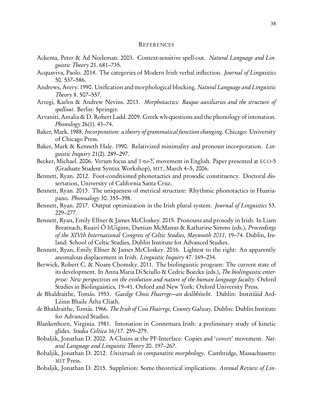#### **REFERENCES**

- <span id="page-37-13"></span>Ackema, Peter & Ad Neeleman. 2003. Context-sensitive spell-out. Natural Language and Linguistic Theory 21. 681–735.
- <span id="page-37-1"></span>Acquaviva, Paolo. 2014. The categories of Modern Irish verbal inflection. Journal of Linguistics 50. 537–586.
- <span id="page-37-12"></span>Andrews, Avery. 1990. Unification and morphological blocking. Natural Language and Linguistic Theory 8. 507–557.
- <span id="page-37-4"></span>Arregi, Karlos & Andrew Nevins. 2013. Morphotactics: Basque auxiliaries and the structure of spellout. Berlin: Springer.
- <span id="page-37-15"></span>Arvaniti, Amalia & D. Robert Ladd. 2009. Greek wh-questions and the phonology of intonation. Phonology 26(1). 43–74.
- <span id="page-37-8"></span>Baker, Mark. 1988. Incorporation: a theory of grammatical function changing. Chicago: University of Chicago Press.
- <span id="page-37-11"></span>Baker, Mark & Kenneth Hale. 1990. Relativized minimality and pronoun incorporation. Linguistic Inquiry 21(2). 289–297.
- <span id="page-37-19"></span>Becker, Michael. 2006. Verum focus and <sup>T</sup>-to-*Σ* movement in English. Paper presented at ECO-5 (Graduate Student Syntax Workshop), MIT, March 4–5, 2006.
- <span id="page-37-16"></span>Bennett, Ryan. 2012. Foot-conditioned phonotactics and prosodic constituency. Doctoral dissertation, University of California Santa Cruz.
- <span id="page-37-17"></span>Bennett, Ryan. 2013. The uniqueness of metrical structure: Rhythmic phonotactics in Huariapano. Phonoalogy 30. 355–398.
- <span id="page-37-18"></span>Bennett, Ryan. 2017. Output optimization in the Irish plural system. Journal of Linguistics 53. 229–277.
- <span id="page-37-9"></span>Bennett, Ryan, Emily Elfner & James McCloskey. 2015. Pronouns and prosody in Irish. In Liam Breatnach, Ruairí Ó hUiginn, Damian McManus & Katharine Simms (eds.), Proceedings of the XIVth International Congress of Celtic Studies, Maynooth 2011, 19–74. Dublin, Ireland: School of Celtic Studies, Dublin Institute for Advanced Studies.
- <span id="page-37-0"></span>Bennett, Ryan, Emily Elfner & James McCloskey. 2016. Lightest to the right: An apparently anomalous displacement in Irish. Linguistic Inquiry 47. 169–234.
- <span id="page-37-6"></span>Berwick, Robert C. & Noam Chomsky. 2011. The biolinguistic program: The current state of its development. In Anna Maria Di Sciullo & Cedric Boeckx (eds.), The biolinguistic enterprise: New perspectives on the evolution and nature of the human language faculty. Oxford Studies in Biolinguistics, 19–41. Oxford and New York: Oxford University Press.
- <span id="page-37-10"></span>de Bhaldraithe, Tomás. 1953. Gaeilge Chois Fhairrge—an deilbhíocht. Dublin: Institiúid Ard-Léinn Bhaile Átha Cliath.
- <span id="page-37-2"></span>de Bhaldraithe, Tomás. 1966. *The Irish of Cois Fhairrge, County Galway*. Dublin: Dublin Institute for Advanced Studies.
- <span id="page-37-14"></span>Blankenhorn, Virginia. 1981. Intonation in Connemara Irish: a preliminary study of kinetic glides. Studia Celtica 16/17. 259–279.
- <span id="page-37-7"></span>Bobaljik, Jonathan D. 2002. A-Chains at the PF-Interface: Copies and 'covert' movement. Natural Language and Linguistic Theory 20. 197–267.
- <span id="page-37-3"></span>Bobaljik, Jonathan D. 2012. Universals in comparative morphology. Cambridge, Massachusetts: MIT Press.
- <span id="page-37-5"></span>Bobaljik, Jonathan D. 2015. Suppletion: Some theoretical implications. Annual Review of Lin-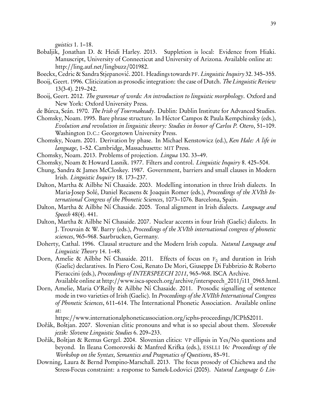guistics 1. 1–18.

- <span id="page-38-3"></span>Bobaljik, Jonathan D. & Heidi Harley. 2013. Suppletion is local: Evidence from Hiaki. Manuscript, University of Connecticut and University of Arizona. Available online at: http://[ling.auf.net](http://ling.auf.net/lingbuzz/001982)/lingbuzz/001982.
- <span id="page-38-6"></span>Boeckx, Cedric & Sandra Stjepanović. 2001. Headings towards PF. Linguistic Inquiry 32. 345–355.
- <span id="page-38-14"></span>Booij, Geert. 1996. Cliticization as prosodic integration: the case of Dutch. The Linguistic Review 13(3-4). 219–242.
- <span id="page-38-15"></span>Booij, Geert. 2012. The grammar of words: An introduction to linguistic morphology. Oxford and New York: Oxford University Press.
- <span id="page-38-7"></span>de Búrca, Seán. 1970. The Irish of Tourmakeady. Dublin: Dublin Institute for Advanced Studies.
- <span id="page-38-4"></span>Chomsky, Noam. 1995. Bare phrase structure. In Héctor Campos & Paula Kempchinsky (eds.), Evolution and revolution in linguistic theory: Studies in honor of Carlos P. Otero, 51–109. Washington D.C.: Georgetown University Press.
- <span id="page-38-5"></span>Chomsky, Noam. 2001. Derivation by phase. In Michael Kenstowicz (ed.), Ken Hale: A life in language, 1–52. Cambridge, Massachusetts: MIT Press.
- <span id="page-38-0"></span>Chomsky, Noam. 2013. Problems of projection. Lingua 130. 33–49.
- <span id="page-38-18"></span>Chomsky, Noam & Howard Lasnik. 1977. Filters and control. Linguistic Inquiry 8. 425–504.
- <span id="page-38-1"></span>Chung, Sandra & James McCloskey. 1987. Government, barriers and small clauses in Modern Irish. Linguistic Inquiry 18. 173–237.
- <span id="page-38-9"></span>Dalton, Martha & Ailbhe Ní Chasaide. 2003. Modelling intonation in three Irish dialects. In Maria-Josep Solé, Daniel Recasens & Joaquin Romer (eds.), Proceedings of the XVIth International Congress of the Phonetic Sciences, 1073–1076. Barcelona, Spain.
- <span id="page-38-10"></span>Dalton, Martha & Ailbhe Ní Chasaide. 2005. Tonal alignment in Irish dialects. *Language and* Speech 48(4). 441.
- <span id="page-38-11"></span>Dalton, Martha & Ailbhe Ní Chasaide. 2007. Nuclear accents in four Irish (Gaelic) dialects. In J. Trouvain & W. Barry (eds.), Proceedings of the XVIth international congress of phonetic sciences, 965–968. Saarbrucken, Germany.
- <span id="page-38-2"></span>Doherty, Cathal. 1996. Clausal structure and the Modern Irish copula. Natural Language and Linguistic Theory 14. 1–48.
- <span id="page-38-8"></span>Dorn, Amelie & Ailbhe Ní Chasaide. 2011. Effects of focus on  $F_0$  and duration in Irish (Gaelic) declaratives. In Piero Cosi, Renato De Mori, Giuseppe Di Fabbrizio & Roberto Pieraccini (eds.), Proceedings of INTERSPEECH 2011, 965-968. ISCA Archive. Available online at http://[www.isca-speech.org](http://www.isca-speech.org/archive/interspeech_2011/i11_0965.html)/archive/interspeech\_2011/i11\_0965.html.
- <span id="page-38-12"></span>Dorn, Amelie, Maria O'Reilly & Ailbhe Ní Chasaide. 2011. Prosodic signalling of sentence mode in two varieties of Irish (Gaelic). In Proceedings of the XVIIth International Congress of Phonetic Sciences, 611–614. The International Phonetic Association. Available online at:

https://[www.internationalphoneticassociation.org](https://www.internationalphoneticassociation.org/icphs-proceedings/ICPhS2011)/icphs-proceedings/ICPhS2011.

- <span id="page-38-17"></span>Dořák, Boštjan. 2007. Slovenian clitic pronouns and what is so special about them. Slovenske jezik: Slovene Linguistic Studies 6. 209–233.
- <span id="page-38-16"></span>Dořák, Boštjan & Remus Gergel. 2004. Slovenian clitics: VP ellipsis in Yes/No questions and beyond. In Ileana Comorovski & Manfred Krifka (eds.), ESSLLI 16: Proceedings of the Workshop on the Syntax, Semantics and Pragmatics of Questions, 85–91.
- <span id="page-38-13"></span>Downing, Laura & Bernd Pompino-Marschall. 2013. The focus prosody of Chichewa and the Stress-Focus constraint: a response to Samek-Lodovici (2005). Natural Language & Lin-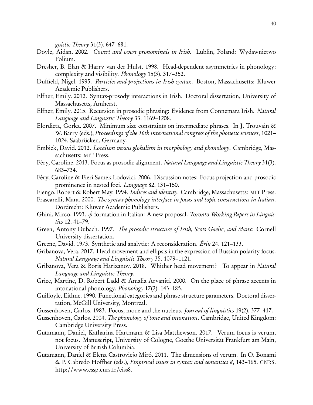guistic Theory 31(3). 647–681.

- <span id="page-39-5"></span>Doyle, Aidan. 2002. Covert and overt pronominals in Irish. Lublin, Poland: Wydawnictwo Folium.
- <span id="page-39-17"></span>Dresher, B. Elan & Harry van der Hulst. 1998. Head-dependent asymmetries in phonology: complexity and visibility. Phonology 15(3). 317–352.
- <span id="page-39-4"></span>Duffield, Nigel. 1995. Particles and projections in Irish syntax. Boston, Massachusetts: Kluwer Academic Publishers.
- <span id="page-39-0"></span>Elfner, Emily. 2012. Syntax-prosody interactions in Irish. Doctoral dissertation, University of Massachusetts, Amherst.
- <span id="page-39-1"></span>Elfner, Emily. 2015. Recursion in prosodic phrasing: Evidence from Connemara Irish. Natural Language and Linguistic Theory 33. 1169–1208.
- <span id="page-39-18"></span>Elordieta, Gorka. 2007. Minimum size constraints on intermediate phrases. In J. Trouvain & W. Barry (eds.), Proceedings of the 16th international congress of the phonetic sciences, 1021– 1024. Saabrücken, Germany.
- <span id="page-39-7"></span>Embick, David. 2012. Localism versus globalism in morphology and phonology. Cambridge, Massachusetts: MIT Press.
- <span id="page-39-11"></span>Féry, Caroline. 2013. Focus as prosodic alignment. Natural Language and Linguistic Theory 31(3). 683–734.
- <span id="page-39-12"></span>Féry, Caroline & Fieri Samek-Lodovici. 2006. Discussion notes: Focus projection and prosodic prominence in nested foci. Language 82. 131–150.
- <span id="page-39-20"></span>Fiengo, Robert & Robert May. 1994. Indices and identity. Cambridge, Massachusetts: MIT Press.
- <span id="page-39-16"></span>Frascarelli, Mara. 2000. The syntax-phonology interface in focus and topic constructions in Italian. Dordrecht: Kluwer Academic Publishers.
- <span id="page-39-15"></span>Ghini, Mirco. 1993. *φ*-formation in Italian: A new proposal. Toronto Working Papers in Linguistics 12. 41–79.
- <span id="page-39-19"></span>Green, Antony Dubach. 1997. The prosodic structure of Irish, Scots Gaelic, and Manx: Cornell University dissertation.
- <span id="page-39-6"></span>Greene, David. 1973. Synthetic and analytic: A reconsideration. Ériu 24. 121–133.
- <span id="page-39-2"></span>Gribanova, Vera. 2017. Head movement and ellipsis in the expression of Russian polarity focus. Natural Language and Linguistic Theory 35. 1079–1121.
- <span id="page-39-8"></span>Gribanova, Vera & Boris Harizanov. 2018. Whither head movement? To appear in Natural Language and Linguistic Theory.
- <span id="page-39-9"></span>Grice, Martine, D. Robert Ladd & Amalia Arvaniti. 2000. On the place of phrase accents in intonational phonology. Phonology 17(2). 143–185.
- <span id="page-39-3"></span>Guilfoyle, Eithne. 1990. Functional categories and phrase structure parameters. Doctoral dissertation, McGill University, Montreal.
- <span id="page-39-14"></span>Gussenhoven, Carlos. 1983. Focus, mode and the nucleus. Journal of linguistics 19(2). 377–417.
- <span id="page-39-13"></span>Gussenhoven, Carlos. 2004. The phonology of tone and intonation. Cambridge, United Kingdom: Cambridge University Press.
- <span id="page-39-10"></span>Gutzmann, Daniel, Katharina Hartmann & Lisa Matthewson. 2017. Verum focus is verum, not focus. Manuscript, University of Cologne, Goethe Universität Frankfurt am Main, University of British Columbia.
- <span id="page-39-21"></span>Gutzmann, Daniel & Elena Castroviejo Miró. 2011. The dimensions of verum. In O. Bonami & P. Cabredo Hoffher (eds.), Empirical issues in syntax and semantics 8, 143–165. CNRS. http://[www.cssp.cnrs.fr](http://www.cssp.cnrs.fr/eiss8)/eiss8.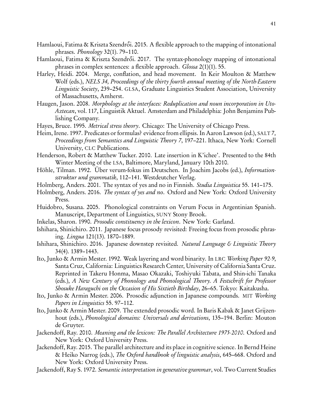- <span id="page-40-6"></span>Hamlaoui, Fatima & Kriszta Szendrői. 2015. A flexible approach to the mapping of intonational phrases. Phonology 32(1). 79–110.
- <span id="page-40-7"></span>Hamlaoui, Fatima & Kriszta Szendrői. 2017. The syntax-phonology mapping of intonational phrases in complex sentences: a flexible approach. Glossa 2(1)(1). 55.
- <span id="page-40-2"></span>Harley, Heidi. 2004. Merge, conflation, and head movement. In Keir Moulton & Matthew Wolf (eds.), NELS 34, Proceedings of the thirty fourth annual meeting of the North-Eastern Linguistic Society, 239–254. GLSA, Graduate Linguistics Student Association, University of Massachusetts, Amherst.
- <span id="page-40-14"></span>Haugen, Jason. 2008. Morphology at the interfaces: Reduplication and noun incorporation in Uto-Aztecan, vol. 117, Linguistik Aktuel. Amsterdam and Philadelphia: John Benjamins Publishing Company.
- <span id="page-40-8"></span>Hayes, Bruce. 1995. Metrical stress theory. Chicago: The University of Chicago Press.
- <span id="page-40-17"></span>Heim, Irene. 1997. Predicates or formulas? evidence from ellipsis. In Aaron Lawson (ed.), SALT 7, Proceedings from Semantics and Linguistic Theory 7, 197–221. Ithaca, New York: Cornell University, CLC Publications.
- <span id="page-40-15"></span>Henderson, Robert & Matthew Tucker. 2010. Late insertion in K'ichee'. Presented to the 84th Winter Meeting of the LSA, Baltimore, Maryland, January 10th 2010.
- <span id="page-40-4"></span>Höhle, Tilman. 1992. Über verum-fokus im Deutschen. In Joachim Jacobs (ed.), Informationsstruktur und grammatik, 112–141. Westdeutcher Verlag.
- <span id="page-40-0"></span>Holmberg, Anders. 2001. The syntax of yes and no in Finnish. Studia Linguistica 55. 141–175.
- <span id="page-40-1"></span>Holmberg, Anders. 2016. *The syntax of yes and no.* Oxford and New York: Oxford University Press.
- <span id="page-40-16"></span>Huidobro, Susana. 2005. Phonological constraints on Verum Focus in Argentinian Spanish. Manuscript, Department of Linguistics, SUNY Stony Brook.
- <span id="page-40-3"></span>Inkelas, Sharon. 1990. Prosodic constituency in the lexicon. New York: Garland.
- <span id="page-40-9"></span>Ishihara, Shinichiro. 2011. Japanese focus prosody revisited: Freeing focus from prosodic phrasing. Lingua 121(13). 1870–1889.
- <span id="page-40-10"></span>Ishihara, Shinichiro. 2016. Japanese downstep revisited. Natural Language & Linguistic Theory 34(4). 1389–1443.
- <span id="page-40-11"></span>Ito, Junko & Armin Mester. 1992. Weak layering and word binarity. In LRC Working Paper 92-9, Santa Cruz, California: Linguistics Research Center, University of California Santa Cruz. Reprinted in Takeru Honma, Masao Okazaki, Toshiyuki Tabata, and Shin-ichi Tanaka (eds.), A New Century of Phonology and Phonological Theory. A Festschrift for Professor Shosuke Haraguchi on the Occasion of His Sixtieth Birthday, 26–65. Tokyo: Kaitakusha.
- <span id="page-40-12"></span>Ito, Junko & Armin Mester. 2006. Prosodic adjunction in Japanese compounds. MIT Working Papers in Linguistics 55. 97–112.
- <span id="page-40-13"></span>Ito, Junko & Armin Mester. 2009. The extended prosodic word. In Baris Kabak & Janet Grijzenhout (eds.), Phonological domains: Universals and derivations, 135-194. Berlin: Mouton de Gruyter.
- <span id="page-40-18"></span>Jackendoff, Ray. 2010. Meaning and the lexicon: The Parallel Architecture 1975-2010. Oxford and New York: Oxford University Press.
- <span id="page-40-19"></span>Jackendoff, Ray. 2015. The parallel architecture and its place in cognitive science. In Bernd Heine & Heiko Narrog (eds.), The Oxford handbook of linguistic analysis, 645–668. Oxford and New York: Oxford University Press.
- <span id="page-40-5"></span>Jackendoff, Ray S. 1972. Semantic interpretation in generative grammar, vol. Two Current Studies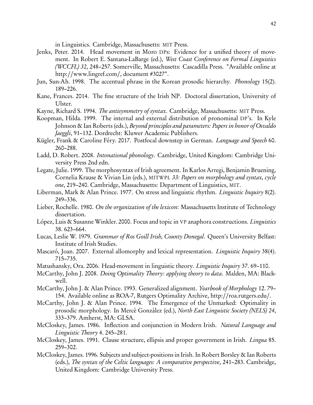in Linguistics. Cambridge, Massachusetts: MIT Press.

- <span id="page-41-6"></span>Jenks, Peter. 2014. Head movement in Moro DPs: Evidence for a unified theory of movement. In Robert E. Santana-LaBarge (ed.), West Coast Conference on Formal Linguistics (WCCFL) 32, 248–257. Somerville, Massachusetts: Cascadilla Press. "Available online at http://www.lingref.com/, document #3027".
- <span id="page-41-17"></span>Jun, Sun-Ah. 1998. The accentual phrase in the Korean prosodic hierarchy. Phonology 15(2). 189–226.
- <span id="page-41-4"></span>Kane, Frances. 2014. The fine structure of the Irish NP. Doctoral dissertation, University of Ulster.
- <span id="page-41-8"></span>Kayne, Richard S. 1994. The antisymmetry of syntax. Cambridge, Massachusetts: MIT Press.
- <span id="page-41-3"></span>Koopman, Hilda. 1999. The internal and external distribution of pronominal DP's. In Kyle Johnson & Ian Roberts (eds.), Beyond principles and parameters: Papers in honor of Osvaldo Jaeggli, 91–132. Dordrecht: Kluwer Academic Publishers.
- <span id="page-41-16"></span>Kügler, Frank & Caroline Féry. 2017. Postfocal downstep in German. Language and Speech 60. 260–288.
- <span id="page-41-15"></span>Ladd, D. Robert. 2008. Intonational phonology. Cambridge, United Kingdom: Cambridge University Press 2nd edn.
- <span id="page-41-11"></span>Legate, Julie. 1999. The morphosyntax of Irish agreement. In Karlos Arregi, Benjamin Bruening, Cornelia Krause & Vivian Lin (eds.), MITWPL 33: Papers on morphology and syntax, cycle one, 219–240. Cambridge, Massachusetts: Department of Linguistics, MIT.
- <span id="page-41-12"></span>Liberman, Mark & Alan Prince. 1977. On stress and linguistic rhythm. *Linguistic Inquiry* 8(2). 249–336.
- <span id="page-41-9"></span>Lieber, Rochelle. 1980. On the organization of the lexicon: Massachusetts Institute of Technology dissertation.
- <span id="page-41-1"></span>López, Luis & Susanne Winkler. 2000. Focus and topic in VP anaphora constructions. Linguistics 38. 623–664.
- <span id="page-41-5"></span>Lucas, Leslie W. 1979. Grammar of Ros Goill Irish, County Donegal. Queen's University Belfast: Institute of Irish Studies.
- <span id="page-41-19"></span>Mascaró, Joan. 2007. External allomorphy and lexical representation. *Linguistic Inquiry* 38(4). 715–735.
- <span id="page-41-7"></span>Matushansky, Ora. 2006. Head-movement in linguistic theory. *Linguistic Inquiry* 37.69–110.
- <span id="page-41-14"></span>McCarthy, John J. 2008. *Doing Optimality Theory: applying theory to data*. Malden, MA: Blackwell.
- <span id="page-41-13"></span>McCarthy, John J. & Alan Prince. 1993. Generalized alignment. Yearbook of Morphology 12. 79– 154. Available online as ROA-7, Rutgers Optimality Archive, http://[roa.rutgers.edu](http://roa.rutgers.edu/)/.
- <span id="page-41-18"></span>McCarthy, John J. & Alan Prince. 1994. The Emergence of the Unmarked: Optimality in prosodic morphology. In Mercè Gonzàlez (ed.), North East Linguistic Society (NELS) 24, 333–379. Amherst, MA: GLSA.
- <span id="page-41-10"></span>McCloskey, James. 1986. Inflection and conjunction in Modern Irish. Natural Language and Linguistic Theory 4. 245–281.
- <span id="page-41-0"></span>McCloskey, James. 1991. Clause structure, ellipsis and proper government in Irish. *Lingua* 85. 259–302.
- <span id="page-41-2"></span>McCloskey, James. 1996. Subjects and subject-positions in Irish. In Robert Borsley & Ian Roberts (eds.), The syntax of the Celtic languages: A comparative perspective, 241–283. Cambridge, United Kingdom: Cambridge University Press.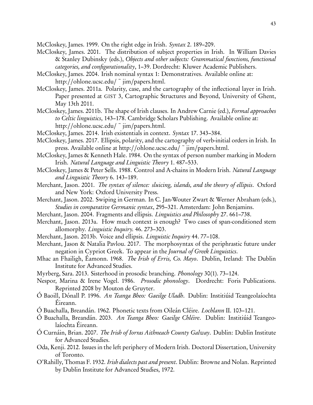<span id="page-42-20"></span>McCloskey, James. 1999. On the right edge in Irish. Syntax 2. 189–209.

- <span id="page-42-2"></span>McCloskey, James. 2001. The distribution of subject properties in Irish. In William Davies & Stanley Dubinsky (eds.), Objects and other subjects: Grammatical functions, functional categories, and configurationality, 1–39. Dordrecht: Kluwer Academic Publishers.
- <span id="page-42-9"></span>McCloskey, James. 2004. Irish nominal syntax 1: Demonstratives. Available online at: http://[ohlone.ucsc.edu](http://ohlone.ucsc.edu/~jim/papers.html)/ $\tilde{\text{}}$  jim/papers.html.
- <span id="page-42-3"></span>McCloskey, James. 2011a. Polarity, case, and the cartography of the inflectional layer in Irish. Paper presented at GIST 3, Cartographic Structures and Beyond, University of Ghent, May 13th 2011.
- <span id="page-42-0"></span>McCloskey, James. 2011b. The shape of Irish clauses. In Andrew Carnie (ed.), Formal approaches to Celtic linguistics, 143–178. Cambridge Scholars Publishing. Available online at: http://[ohlone.ucsc.edu](http://ohlone.ucsc.edu/~jim/papers.html)/ $\tilde{\text{}}$ im/papers.html.
- <span id="page-42-4"></span>McCloskey, James. 2014. Irish existentials in context. Syntax 17. 343–384.
- <span id="page-42-1"></span>McCloskey, James. 2017. Ellipsis, polarity, and the cartography of verb-initial orders in Irish. In press. Available online at http://[ohlone.ucsc.edu](http://ohlone.ucsc.edu/~jim/papers.html)/ ~ jim/papers.html.
- <span id="page-42-8"></span>McCloskey, James & Kenneth Hale. 1984. On the syntax of person number marking in Modern Irish. Natural Language and Linguistic Theory 1. 487–533.
- <span id="page-42-5"></span>McCloskey, James & Peter Sells. 1988. Control and A-chains in Modern Irish. Natural Language and Linguistic Theory 6. 143–189.
- <span id="page-42-21"></span>Merchant, Jason. 2001. The syntax of silence: sluicing, islands, and the theory of ellipsis. Oxford and New York: Oxford University Press.
- <span id="page-42-23"></span>Merchant, Jason. 2002. Swiping in German. In C. Jan-Wouter Zwart & Werner Abraham (eds.), Studies in comparative Germanic syntax, 295–321. Amsterdam: John Benjamins.
- <span id="page-42-22"></span>Merchant, Jason. 2004. Fragments and ellipsis. *Linguistics and Philosophy* 27. 661–738.
- <span id="page-42-15"></span>Merchant, Jason. 2013a. How much context is enough? Two cases of span-conditioned stem allomorphy. Linguistic Inquiry. 46. 273–303.
- <span id="page-42-6"></span>Merchant, Jason. 2013b. Voice and ellipsis. *Linguistic Inquiry* 44.77-108.
- <span id="page-42-16"></span>Merchant, Jason & Natalia Pavlou. 2017. The morphosyntax of the periphrastic future under negation in Cypriot Greek. To appear in the Journal of Greek Linguistics.
- <span id="page-42-19"></span>Mhac an Fhailigh, Éamonn. 1968. *The Irish of Erris*, Co. Mayo. Dublin, Ireland: The Dublin Institute for Advanced Studies.
- <span id="page-42-18"></span>Myrberg, Sara. 2013. Sisterhood in prosodic branching. Phonology 30(1). 73–124.
- <span id="page-42-17"></span>Nespor, Marina & Irene Vogel. 1986. Prosodic phonology. Dordrecht: Foris Publications. Reprinted 2008 by Mouton de Gruyter.
- <span id="page-42-10"></span>Ó Baoill, Dónall P. 1996. An Teanga Bheo: Gaeilge Uladh. Dublin: Institiúid Teangeolaíochta Éireann.
- <span id="page-42-13"></span>Ó Buachalla, Breandán. 1962. Phonetic texts from Oileán Cléire. Lochlann II. 103–121.
- <span id="page-42-14"></span>Ó Buachalla, Breandán. 2003. An Teanga Bheo: Gaeilge Chléire. Dublin: Institiúid Teangeolaíochta Éireann.
- <span id="page-42-12"></span>Ó Curnáin, Brian. 2007. The Irish of Iorras Aithneach County Galway. Dublin: Dublin Institute for Advanced Studies.
- <span id="page-42-7"></span>Oda, Kenji. 2012. Issues in the left periphery of Modern Irish. Doctoral Dissertation, University of Toronto.
- <span id="page-42-11"></span>O'Rahilly, Thomas F. 1932. Irish dialects past and present. Dublin: Browne and Nolan. Reprinted by Dublin Institute for Advanced Studies, 1972.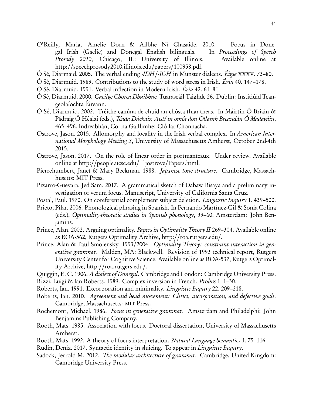- <span id="page-43-14"></span>O'Reilly, Maria, Amelie Dorn & Ailbhe Ní Chasaide. 2010. Focus in Donegal Irish (Gaelic) and Donegal English bilinguals. In Proceedings of Speech Prosody 2010, Chicago, IL: University of Illinois. Available online at http://[speechprosody2010.illinois.edu](http://speechprosody2010.illinois.edu/papers/100958.pdf)/papers/100958.pdf.
- <span id="page-43-5"></span>Ó Sé, Diarmaid. 2005. The verbal ending -IDH/-IGH in Munster dialects. Éigse XXXV. 73–80.
- <span id="page-43-18"></span>Ó Sé, Diarmuid. 1989. Contributions to the study of word stress in Irish. Ériu 40. 147–178.
- <span id="page-43-6"></span>Ó Sé, Diarmuid. 1991. Verbal inflection in Modern Irish. Ériu 42. 61–81.
- <span id="page-43-4"></span>Ó Sé, Diarmuid. 2000. Gaeilge Chorca Dhuibhne. Tuarascáil Taighde 26. Dublin: Institiúid Teangeolaíochta Éireann.
- <span id="page-43-7"></span>Ó Sé, Diarmuid. 2002. Tréithe canúna de chuid an chósta thiar-theas. In Máirtín Ó Briain & Pádraig Ó Héalaí (eds.), Téada Dúchais: Aistí in omós don Ollamh Breandán Ó Madagáin, 465–496. Indreabhán, Co. na Gaillimhe: Cló Iar-Chonnacha.
- <span id="page-43-1"></span>Ostrove, Jason. 2015. Allomorphy and locality in the Irish verbal complex. In American International Morphology Meeting 3, University of Massachusetts Amherst, October 2nd-4th 2015.
- <span id="page-43-2"></span>Ostrove, Jason. 2017. On the role of linear order in portmanteaux. Under review. Available online at http://[people.ucsc.edu](http://people.ucsc.edu/~jostrove/Papers.html)/ $\tilde{\ }$  jostrove/Papers.html.
- <span id="page-43-15"></span>Pierrehumbert, Janet & Mary Beckman. 1988. *Japanese tone structure*. Cambridge, Massachhusetts: MIT Press.
- <span id="page-43-21"></span>Pizarro-Guevara, Jed Sam. 2017. A grammatical sketch of Dabaw Bisaya and a preliminary investigation of verum focus. Manuscript, University of California Santa Cruz.
- <span id="page-43-19"></span>Postal, Paul. 1970. On coreferential complement subject deletion. *Linguistic Inquiry* 1. 439–500.
- <span id="page-43-17"></span>Prieto, Pilar. 2006. Phonological phrasing in Spanish. In Fernando Martínez-Gil & Sonia Colina (eds.), Optimality-theoretic studies in Spanish phonology, 39–60. Amsterdam: John Benjamins.
- <span id="page-43-16"></span>Prince, Alan. 2002. Arguing optimality. Papers in Optimality Theory II 269–304. Available online as ROA-562, Rutgers Optimality Archive, http://[roa.rutgers.edu](http://roa.rutgers.edu/)/.
- <span id="page-43-0"></span>Prince, Alan & Paul Smolensky. 1993/2004. Optimality Theory: constraint interaction in generative grammar. Malden, MA: Blackwell. Revision of 1993 technical report, Rutgers University Center for Cognitive Science. Available online as ROA-537, Rutgers Optimality Archive, http://[roa.rutgers.edu](http://roa.rutgers.edu/)/.
- <span id="page-43-9"></span><span id="page-43-3"></span>Quiggin, E. C. 1906. A dialect of Donegal. Cambridge and London: Cambridge University Press. Rizzi, Luigi & Ian Roberts. 1989. Complex inversion in French. Probus 1. 1–30.
- <span id="page-43-10"></span>Roberts, Ian. 1991. Excorporation and minimality. Linguistic Inquiry 22. 209–218.
- <span id="page-43-8"></span>Roberts, Ian. 2010. Agreement and head movement: Clitics, incorporation, and defective goals. Cambridge, Massachusetts: MIT Press.
- <span id="page-43-13"></span>Rochemont, Michael. 1986. Focus in generative grammar. Amsterdam and Philadelphi: John Benjamins Publishing Company.
- <span id="page-43-11"></span>Rooth, Mats. 1985. Association with focus. Doctoral dissertation, University of Massachusetts Amherst.
- <span id="page-43-12"></span>Rooth, Mats. 1992. A theory of focus interpretation. Natural Language Semantics 1. 75–116.
- <span id="page-43-20"></span>Rudin, Deniz. 2017. Syntactic identity in sluicing. To appear in Linguistic Inquiry.
- <span id="page-43-22"></span>Sadock, Jerrold M. 2012. *The modular architecture of grammar*. Cambridge, United Kingdom: Cambridge University Press.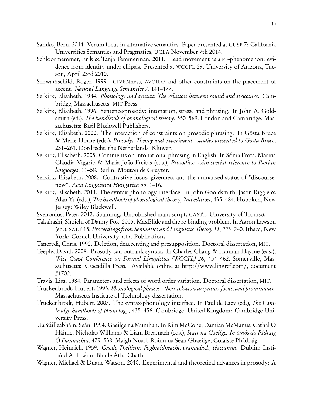- <span id="page-44-8"></span>Samko, Bern. 2014. Verum focus in alternative semantics. Paper presented at CUSP 7: California Universities Semantics and Pragmatics, UCLA November 7th 2014.
- <span id="page-44-5"></span>Schloormemmer, Erik & Tanja Temmerman. 2011. Head movement as a PF-phenomenon: evidence from identity under ellipsis. Presented at WCCFL 29, University of Arizona, Tucson, April 23rd 2010.
- <span id="page-44-9"></span>Schwarzschild, Roger. 1999. GIVENness, AVOIDF and other constraints on the placement of accent. Natural Language Semantics 7. 141–177.
- <span id="page-44-10"></span>Selkirk, Elisabeth. 1984. Phonology and syntax: The relation between sound and structure. Cambridge, Massachusetts: MIT Press.
- <span id="page-44-7"></span>Selkirk, Elisabeth. 1996. Sentence-prosody: intonation, stress, and phrasing. In John A. Goldsmith (ed.), The handbook of phonological theory, 550–569. London and Cambridge, Massachusetts: Basil Blackwell Publishers.
- <span id="page-44-14"></span>Selkirk, Elisabeth. 2000. The interaction of constraints on prosodic phrasing. In Gösta Bruce & Merle Horne (eds.), Prosody: Theory and experiment—studies presented to Gösta Bruce, 231–261. Dordrecht, the Netherlands: Kluwer.
- <span id="page-44-11"></span>Selkirk, Elisabeth. 2005. Comments on intonational phrasing in English. In Sónia Frota, Marina Cláudia Vigário & Maria João Freitas (eds.), Prosodies: with special reference to Iberian languages, 11–58. Berlin: Mouton de Gruyter.
- <span id="page-44-16"></span>Selkirk, Elisabeth. 2008. Contrastive focus, givenness and the unmarked status of "discoursenew". Acta Linguistica Hungarica 55. 1–16.
- <span id="page-44-6"></span>Selkirk, Elisabeth. 2011. The syntax-phonology interface. In John Gooldsmith, Jason Riggle & Alan Yu (eds.), The handbook of phonological theory, 2nd edition, 435–484. Hoboken, New Jersey: Wiley Blackwell.
- <span id="page-44-3"></span>Svenonius, Peter. 2012. Spanning. Unpublished manuscript, CASTL, University of Tromsø.
- <span id="page-44-18"></span>Takahashi, Shoichi & Danny Fox. 2005. MaxElide and the re-binding problem. In Aaron Lawson (ed.), SALT 15, Proceedings from Semantics and Linguistic Theory 15, 223–240. Ithaca, New York: Cornell University, CLC Publications.
- <span id="page-44-15"></span>Tancredi, Chris. 1992. Deletion, deaccenting and presupposition. Doctoral dissertation, MIT.
- <span id="page-44-17"></span>Teeple, David. 2008. Prosody can outrank syntax. In Charles Chang & Hannah Haynie (eds.), West Coast Conference on Formal Linguistics (WCCFL) 26, 454–462. Somerville, Massachusetts: Cascadilla Press. Available online at http://[www.lingref.com](http://www.lingref.com/)/, document #1702.
- <span id="page-44-4"></span>Travis, Lisa. 1984. Parameters and effects of word order variation. Doctoral dissertation, MIT.
- <span id="page-44-12"></span>Truckenbrodt, Hubert. 1995. Phonological phrases—their relation to syntax, focus, and prominance: Massachusetts Institute of Technology dissertation.
- <span id="page-44-13"></span>Truckenbrodt, Hubert. 2007. The syntax-phonology interface. In Paul de Lacy (ed.), The Cambridge handbook of phonology, 435–456. Cambridge, United Kingdom: Cambridge University Press.
- <span id="page-44-2"></span>Ua Súilleabháin, Seán. 1994. Gaeilge na Mumhan. In Kim McCone, Damian McManus, Cathal Ó Háinle, Nicholas Williams & Liam Breatnach (eds.), Stair na Gaeilge: In ómós do Pádraig Ó Fiannachta, 479–538. Maigh Nuad: Roinn na Sean-Ghaeilge, Coláiste Phádraig.
- <span id="page-44-1"></span>Wagner, Heinrich. 1959. Gaeile Theilinn: Foghraidheacht, gramadach, téacsanna. Dublin: Institiúid Ard-Léinn Bhaile Átha Cliath.
- <span id="page-44-0"></span>Wagner, Michael & Duane Watson. 2010. Experimental and theoretical advances in prosody: A